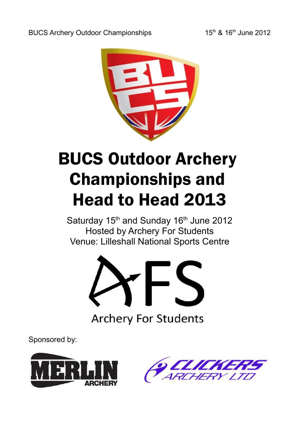

# BUCS Outdoor Archery Championships and Head to Head 2013

Saturday 15<sup>th</sup> and Sunday 16<sup>th</sup> June 2012 Hosted by Archery For Students Venue: Lilleshall National Sports Centre



Sponsored by:



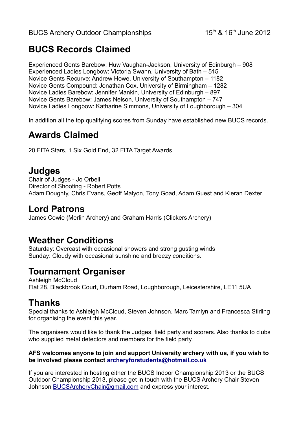# **BUCS Records Claimed**

Experienced Gents Barebow: Huw Vaughan-Jackson, University of Edinburgh – 908 Experienced Ladies Longbow: Victoria Swann, University of Bath – 515 Novice Gents Recurve: Andrew Howe, University of Southampton – 1182 Novice Gents Compound: Jonathan Cox, University of Birmingham – 1282 Novice Ladies Barebow: Jennifer Mankin, University of Edinburgh – 897 Novice Gents Barebow: James Nelson, University of Southampton – 747 Novice Ladies Longbow: Katharine Simmons, University of Loughborough – 304

In addition all the top qualifying scores from Sunday have established new BUCS records.

## **Awards Claimed**

20 FITA Stars, 1 Six Gold End, 32 FITA Target Awards

## **Judges**

Chair of Judges - Jo Orbell Director of Shooting - Robert Potts Adam Doughty, Chris Evans, Geoff Malyon, Tony Goad, Adam Guest and Kieran Dexter

## **Lord Patrons**

James Cowie (Merlin Archery) and Graham Harris (Clickers Archery)

### **Weather Conditions**

Saturday: Overcast with occasional showers and strong gusting winds Sunday: Cloudy with occasional sunshine and breezy conditions.

## **Tournament Organiser**

Ashleigh McCloud Flat 28, Blackbrook Court, Durham Road, Loughborough, Leicestershire, LE11 5UA

## **Thanks**

Special thanks to Ashleigh McCloud, Steven Johnson, Marc Tamlyn and Francesca Stirling for organising the event this year.

The organisers would like to thank the Judges, field party and scorers. Also thanks to clubs who supplied metal detectors and members for the field party.

#### **AFS welcomes anyone to join and support University archery with us, if you wish to be involved please contact [archeryforstudents@hotmail.co.uk](mailto:archeryforstudents@hotmail.co.uk)**

If you are interested in hosting either the BUCS Indoor Championship 2013 or the BUCS Outdoor Championship 2013, please get in touch with the BUCS Archery Chair Steven Johnson [BUCSArcheryChair@gmail.com](mailto:BUCSArcheryChair@gmail.com) and express your interest.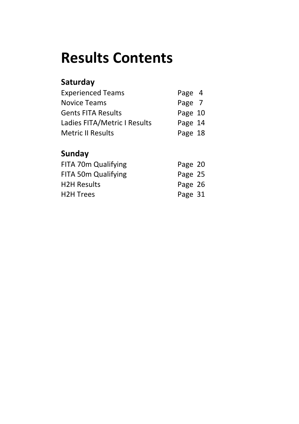# **Results Contents**

# **Saturday**

| <b>Experienced Teams</b>     | Page 4  |  |
|------------------------------|---------|--|
| <b>Novice Teams</b>          | Page 7  |  |
| <b>Gents FITA Results</b>    | Page 10 |  |
| Ladies FITA/Metric I Results | Page 14 |  |
| <b>Metric II Results</b>     | Page 18 |  |

# **Sunday**

| FITA 70m Qualifying | Page 20 |  |
|---------------------|---------|--|
| FITA 50m Qualifying | Page 25 |  |
| <b>H2H Results</b>  | Page 26 |  |
| <b>H2H Trees</b>    | Page 31 |  |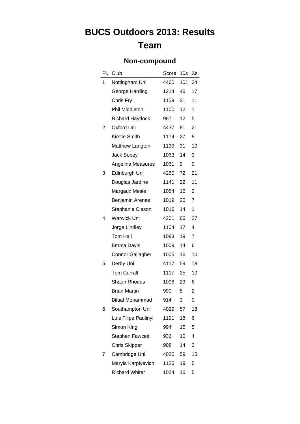### **Non-compound**

| PI. | Club                    | Score | 10 <sub>s</sub>  | Xs |
|-----|-------------------------|-------|------------------|----|
| 1   | Nottingham Uni          | 4460  |                  | 34 |
|     | George Harding          | 1214  | 46               | 17 |
|     | Chris Fry               | 1159  | 31               | 11 |
|     | Phil Middleton          | 1100  | 12 <sup>12</sup> | 1  |
|     | <b>Richard Haydock</b>  | 987   | 12 <sup>12</sup> | 5  |
| 2   | Oxford Uni              | 4437  | 81               | 21 |
|     | Kirstie Smith           | 1174  | 27               | 8  |
|     | Matthew Langton         | 1139  | 31               | 10 |
|     | Jack Sobey              | 1063  | 14               | 3  |
|     | Angelina Measures       | 1061  | 9                | 0  |
| 3   | Edinburgh Uni           | 4260  | 72               | 21 |
|     | Douglas Jardine         | 1141  | 22               | 11 |
|     | Margaux Mesle           | 1084  | 16               | 2  |
|     | Benjamin Arenas         | 1019  | 20               | 7  |
|     | Stephanie Clason        | 1016  | 14               | 1  |
| 4   | Warwick Uni             | 4201  | 66               | 27 |
|     | Jorge Lindley           | 1104  | 17 <sup>2</sup>  | 4  |
|     | Tom Hall                | 1083  | 19               | 7  |
|     | Emma Davis              | 1009  | 14               | 6  |
|     | <b>Connor Gallagher</b> | 1005  | 16               | 10 |
| 5   | Derby Uni               | 4117  | 59               | 18 |
|     | <b>Tom Currall</b>      | 1117  | 25               | 10 |
|     | <b>Shaun Rhodes</b>     | 1096  | 23               | 6  |
|     | <b>Brian Martin</b>     | 990   | 8                | 2  |
|     | <b>Bilaal Mohammad</b>  | 914   | 3                | 0  |
| 6   | Southampton Uni         | 4029  | 57               | 18 |
|     | Luis Filipe Paulinyi    | 1191  | 18               | 6  |
|     | Simon King              | 994   | 15               | 5  |
|     | <b>Stephen Fawcett</b>  | 936   | 10               | 4  |
|     | <b>Chris Skipper</b>    | 908   | 14               | 3  |
| 7   | Cambridge Uni           | 4020  | 59               | 15 |
|     | Maryia Karpiyevich      | 1126  | 19               | 5  |
|     | <b>Richard Whiter</b>   | 1024  | 16               | 5  |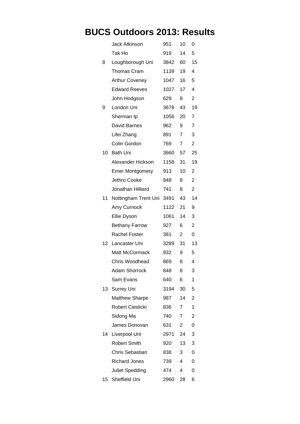|                  | <b>Jack Atkinson</b>   | 951  | 10             | 0              |
|------------------|------------------------|------|----------------|----------------|
|                  | Tak Ho                 | 919  | 14             | 5              |
| 8                | Loughborough Uni       | 3842 | 60             | 15             |
|                  | <b>Thomas Cram</b>     | 1139 | 19             | 4              |
|                  | <b>Arthur Coveney</b>  | 1047 | 16             | 5              |
|                  | <b>Edward Reeves</b>   | 1027 | 17             | 4              |
|                  | John Hodgson           | 629  | 8              | $\overline{2}$ |
| 9                | London Uni             | 3678 | 43             | 19             |
|                  | Sherman Ip             | 1056 | 20             | 7              |
|                  | David Barnes           | 962  | 9              | $\overline{7}$ |
|                  | Lifei Zhang            | 891  | 7              | 3              |
|                  | Colin Gordon           | 769  | $\overline{7}$ | $\overline{2}$ |
| 10.              | <b>Bath Uni</b>        | 3660 | 57             | 25             |
|                  | Alexander Hickson      | 1158 | 31             | 19             |
|                  | <b>Emer Montgomery</b> | 913  | 10             | 2              |
|                  | Jethro Cooke           | 848  | 8              | $\overline{2}$ |
|                  | Jonathan Hilliard      | 741  | 8              | $\overline{2}$ |
| 11               | Nottingham Trent Uni   | 3491 | 43             | 14             |
|                  | Amy Curnock            | 1122 | 21             | 9              |
|                  | Ellie Dyson            | 1061 | 14             | 3              |
|                  | <b>Bethany Farrow</b>  | 927  | 6              | $\overline{2}$ |
|                  | <b>Rachel Foster</b>   | 381  | $\overline{2}$ | 0              |
| 12 <sup>12</sup> | Lancaster Uni          | 3289 | 31             | 13             |
|                  | <b>Matt McCormack</b>  | 932  | 9              | 5              |
|                  | Chris Woodhead         | 869  | 8              | 4              |
|                  | <b>Adam Shorrock</b>   | 848  | 8              | 3              |
|                  | Sam Evans              | 640  | 6              | 1              |
|                  | 13 Surrey Uni          | 3194 | 30             | 5              |
|                  | <b>Matthew Sharpe</b>  | 987  | 14             | 2              |
|                  | Robert Cieslicki       | 836  | 7              | 1              |
|                  | Sidong Ma              | 740  | $\overline{7}$ | 2              |
|                  | James Donovan          | 631  | 2              | 0              |
|                  | 14 Liverpool Uni       | 2971 | 24             | 3              |
|                  | <b>Robert Smith</b>    | 920  | 13             | 3              |
|                  | Chris Sebastian        | 838  | 3              | 0              |
|                  | <b>Richard Jones</b>   | 739  | 4              | 0              |
|                  | Juliet Spedding        | 474  | 4              | 0              |
|                  | 15 Sheffield Uni       | 2960 | 28             | 6              |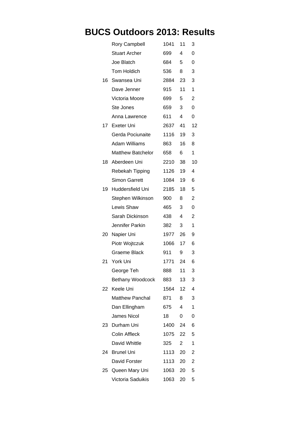|                 | <b>Rory Campbell</b>     | 1041 | 11              | 3              |
|-----------------|--------------------------|------|-----------------|----------------|
|                 | <b>Stuart Archer</b>     | 699  | 4               | 0              |
|                 | Joe Blatch               | 684  | 5               | 0              |
|                 | Tom Holdich              | 536  | 8               | 3              |
| 16              | Swansea Uni              | 2884 | 23              | 3              |
|                 | Dave Jenner              | 915  | 11              | 1              |
|                 | Victoria Moore           | 699  | 5               | 2              |
|                 | Ste Jones                | 659  | 3               | 0              |
|                 | Anna Lawrence            | 611  | 4               | 0              |
| 17 <sup>1</sup> | Exeter Uni               | 2637 | 41              | 12             |
|                 | Gerda Pociunaite         | 1116 | 19              | 3              |
|                 | <b>Adam Williams</b>     | 863  | 16              | 8              |
|                 | <b>Matthew Batchelor</b> | 658  | 6               | 1              |
| 18              | Aberdeen Uni             | 2210 | 38              | 10             |
|                 | Rebekah Tipping          | 1126 | 19              | 4              |
|                 | <b>Simon Garrett</b>     | 1084 | 19              | 6              |
| 19              | Huddersfield Uni         | 2185 | 18              | 5              |
|                 | Stephen Wilkinson        | 900  | 8               | $\overline{2}$ |
|                 | Lewis Shaw               | 465  | 3               | 0              |
|                 | Sarah Dickinson          | 438  | 4               | $\overline{2}$ |
|                 | Jennifer Parkin          | 382  | 3               | 1              |
| 20              | Napier Uni               | 1977 | 26              | 9              |
|                 | Piotr Wojtczuk           | 1066 | 17 <sup>7</sup> | 6              |
|                 | Graeme Black             | 911  | 9               | 3              |
| 21              | York Uni                 | 1771 | 24              | 6              |
|                 | George Teh               | 888  | 11              | 3              |
|                 | <b>Bethany Woodcock</b>  | 883  | 13              | 3              |
| 22.             | Keele Uni                | 1564 | 12 <sup>7</sup> | 4              |
|                 | <b>Matthew Panchal</b>   | 871  | 8               | 3              |
|                 | Dan Ellingham            | 675  | 4               | 1              |
|                 | <b>James Nicol</b>       | 18   | 0               | 0              |
| 23.             | Durham Uni               | 1400 | 24              | 6              |
|                 | <b>Colin Affleck</b>     | 1075 | 22              | 5              |
|                 | David Whittle            | 325  | $\overline{2}$  | 1              |
| 24.             | <b>Brunel Uni</b>        | 1113 | 20              | 2              |
|                 | David Forster            | 1113 | 20              | $\overline{2}$ |
| 25              | Queen Mary Uni           | 1063 | 20              | 5              |
|                 | Victoria Saduikis        | 1063 | 20              | 5              |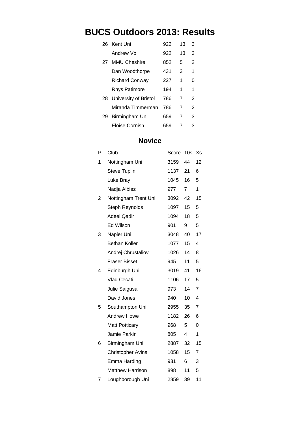|    | 26 Kent Uni                  | 922 | 13 | 3 |
|----|------------------------------|-----|----|---|
|    | Andrew Vo                    | 922 | 13 | 3 |
| 27 | <b>MMU Cheshire</b>          | 852 | 5  | 2 |
|    | Dan Woodthorpe               | 431 | 3  | 1 |
|    | <b>Richard Conway</b>        | 227 | 1  | U |
|    | <b>Rhys Patimore</b>         | 194 | 1  | 1 |
| 28 | <b>University of Bristol</b> | 786 | 7  | 2 |
|    | Miranda Timmerman            | 786 | 7  | 2 |
| 29 | Birmingham Uni               | 659 | 7  | 3 |
|    | Eloise Cornish               | 659 |    | 3 |

#### **Novice**

| PI. | Club                     | Score | 10 <sub>s</sub>  | Xs             |
|-----|--------------------------|-------|------------------|----------------|
| 1   | Nottingham Uni           | 3159  | 44               | 12             |
|     | <b>Steve Tuplin</b>      | 1137  | 21               | 6              |
|     | Luke Bray                | 1045  | 16               | 5              |
|     | Nadja Albiez             | 977   | $7^{\circ}$      | 1              |
| 2   | Nottingham Trent Uni     | 3092  | 42               | 15             |
|     | <b>Steph Reynolds</b>    | 1097  | 15 <sup>15</sup> | 5              |
|     | <b>Adeel Qadir</b>       | 1094  | 18               | 5              |
|     | Ed Wilson                | 901   | 9                | 5              |
| 3   | Napier Uni               | 3048  | 40               | 17             |
|     | <b>Bethan Koller</b>     | 1077  | 15 <sub>15</sub> | 4              |
|     | Andrej Chrustaliov       | 1026  | 14               | 8              |
|     | <b>Fraser Bisset</b>     | 945   | 11               | 5              |
| 4   | Edinburgh Uni            | 3019  | 41               | 16             |
|     | <b>Vlad Cecati</b>       | 1106  | 17 <sub>1</sub>  | 5              |
|     | Julie Saigusa            | 973   | 14               | $\overline{7}$ |
|     | David Jones              | 940   | 10               | 4              |
| 5   | Southampton Uni          | 2955  | 35               | $\overline{7}$ |
|     | <b>Andrew Howe</b>       | 1182  | 26               | 6              |
|     | <b>Matt Potticary</b>    | 968   | 5                | 0              |
|     | Jamie Parkin             | 805   | 4                | 1              |
| 6   | Birmingham Uni           | 2887  | 32               | 15             |
|     | <b>Christopher Avins</b> | 1058  | 15 <sup>15</sup> | 7              |
|     | Emma Harding             | 931   | 6                | 3              |
|     | <b>Matthew Harrison</b>  | 898   | 11               | 5              |
| 7   | Loughborough Uni         | 2859  | 39               | 11             |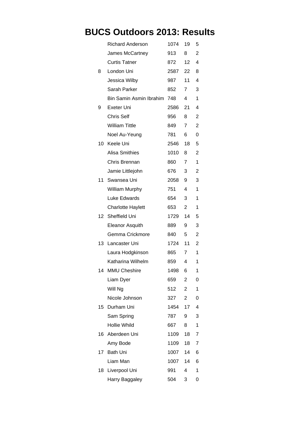|    | <b>Richard Anderson</b>  | 1074    | 19               | 5              |
|----|--------------------------|---------|------------------|----------------|
|    | James McCartney          | 913     | 8                | 2              |
|    | <b>Curtis Tatner</b>     | 872     | 12 <sup>12</sup> | 4              |
| 8  | London Uni               | 2587 22 |                  | 8              |
|    | Jessica Wilby            | 987     | 11               | 4              |
|    | Sarah Parker             | 852     | $7^{\circ}$      | 3              |
|    | Bin Samin Asmin Ibrahim  | 748     | 4                | 1              |
| 9  | Exeter Uni               | 2586    | 21               | 4              |
|    | <b>Chris Self</b>        | 956     | 8                | 2              |
|    | <b>William Tittle</b>    | 849     | $\overline{7}$   | $\overline{2}$ |
|    | Noel Au-Yeung            | 781     | 6                | 0              |
|    | 10 Keele Uni             | 2546    | 18               | 5              |
|    | <b>Alisa Smithies</b>    | 1010    | 8                | 2              |
|    | Chris Brennan            | 860     | $\overline{7}$   | 1              |
|    | Jamie Littlejohn         | 676     | 3                | 2              |
| 11 | Swansea Uni              | 2058    | 9                | 3              |
|    | <b>William Murphy</b>    | 751     | 4                | 1              |
|    | Luke Edwards             | 654     | 3                | 1              |
|    | <b>Charlotte Haylett</b> | 653     | 2                | 1              |
|    | 12 Sheffield Uni         | 1729    | 14               | 5              |
|    | <b>Eleanor Asquith</b>   | 889     | 9                | 3              |
|    | Gemma Crickmore          | 840     | 5                | $\overline{2}$ |
| 13 | Lancaster Uni            | 1724    | 11               | 2              |
|    | Laura Hodgkinson         | 865     | $7^{\circ}$      | 1              |
|    | Katharina Wilhelm        | 859     | 4                | 1              |
| 14 | <b>MMU Cheshire</b>      | 1498    | 6                | 1              |
|    | Liam Dyer                | 659     | 2                | 0              |
|    | Will Ng                  | 512     | 2                | 1              |
|    | Nicole Johnson           | 327     | $\overline{2}$   | 0              |
|    | 15 Durham Uni            | 1454    | 17               | 4              |
|    | Sam Spring               | 787     | 9                | 3              |
|    | Hollie Whild             | 667     | 8                | 1              |
| 16 | Aberdeen Uni             | 1109    | 18               | 7              |
|    | Amy Bode                 | 1109    | 18               | 7              |
| 17 | <b>Bath Uni</b>          | 1007    | 14               | 6              |
|    | Liam Man                 | 1007    | 14               | 6              |
| 18 | Liverpool Uni            | 991     | 4                | 1              |
|    | Harry Baggaley           | 504     | 3                | 0              |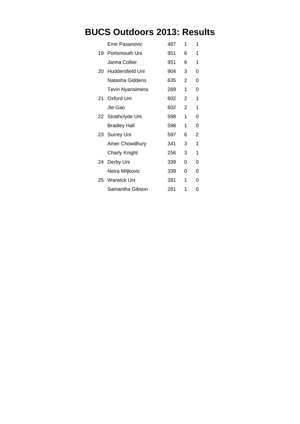|    | Emir Pasanovic      | 487 | 1              | 1 |
|----|---------------------|-----|----------------|---|
| 19 | Portsmouth Uni      | 951 | 6              | 1 |
|    | Janna Collier       | 951 | 6              | 1 |
| 20 | Huddersfield Uni    | 904 | 3              | 0 |
|    | Natasha Giddens     | 635 | $\overline{2}$ | 0 |
|    | Tevin Nyansimera    | 269 | 1              | 0 |
| 21 | Oxford Uni          | 602 | $\overline{2}$ | 1 |
|    | Jie Gao             | 602 | $\overline{2}$ | 1 |
|    | 22 Strathclyde Uni  | 598 | 1              | 0 |
|    | <b>Bradley Hall</b> | 598 | 1              | 0 |
| 23 | <b>Surrey Uni</b>   | 597 | 6              | 2 |
|    | Amer Chowdhury      | 341 | 3              | 1 |
|    | Charly Knight       | 256 | 3              | 1 |
| 24 | Derby Uni           | 339 | 0              | 0 |
|    | Neira Miljkovic     | 339 | 0              | 0 |
| 25 | Warwick Uni         | 281 | 1              | 0 |
|    | Samantha Gibson     | 281 | 1              | ი |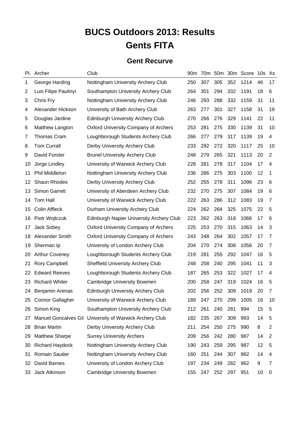# **BUCS Outdoors 2013: Results Gents FITA**

#### **Gent Recurve**

|    | Pl. Archer                  | Club                                            | 90 <sub>m</sub> |     |     |     | 70m 50m 30m Score 10s Xs |    |                |
|----|-----------------------------|-------------------------------------------------|-----------------|-----|-----|-----|--------------------------|----|----------------|
| 1  | George Harding              | Nottingham University Archery Club              | 250             | 307 | 305 | 352 | 1214                     | 46 | 17             |
| 2  | Luis Filipe Paulinyi        | Southampton University Archery Club             | 264             | 301 | 294 | 332 | 1191                     | 18 | 6              |
| 3  | Chris Fry                   | Nottingham University Archery Club              | 246             | 293 | 288 | 332 | 1159                     | 31 | 11             |
| 4  | Alexander Hickson           | University of Bath Archery Club                 | 263             | 277 | 301 | 327 | 1158                     | 31 | 19             |
| 5  | Douglas Jardine             | <b>Edinburgh University Archery Club</b>        | 270             | 266 | 276 | 329 | 1141                     | 22 | 11             |
| 6  | Matthew Langton             | <b>Oxford University Company of Archers</b>     | 253             | 281 | 275 | 330 | 1139                     | 31 | 10             |
| 7  | <b>Thomas Cram</b>          | Loughborough Students Archery Club              | 266             | 277 | 279 | 317 | 1139                     | 19 | 4              |
| 8  | <b>Tom Currall</b>          | Derby University Archery Club                   | 233             | 292 | 272 | 320 | 1117                     | 25 | 10             |
| 9  | David Forster               | <b>Brunel University Archery Club</b>           | 248             | 279 | 265 | 321 | 1113                     | 20 | $\overline{2}$ |
| 10 | Jorge Lindley               | University of Warwick Archery Club              | 228             | 281 | 278 | 317 | 1104                     | 17 | 4              |
| 11 | Phil Middleton              | Nottingham University Archery Club              | 236             | 286 | 275 | 303 | 1100                     | 12 | 1              |
| 12 | Shaun Rhodes                | Derby University Archery Club                   | 252             | 255 | 278 | 311 | 1096                     | 23 | 6              |
| 13 | <b>Simon Garrett</b>        | University of Aberdeen Archery Club             | 232             | 270 | 275 | 307 | 1084                     | 19 | 6              |
| 14 | Tom Hall                    | University of Warwick Archery Club              | 222             | 263 | 286 | 312 | 1083                     | 19 | 7              |
| 15 | Colin Affleck               | Durham University Archery Club                  | 224             | 262 | 264 | 325 | 1075                     | 22 | 5              |
| 16 | Piotr Wojtczuk              | <b>Edinburgh Napier University Archery Club</b> | 223             | 262 | 263 | 318 | 1066                     | 17 | 6              |
| 17 | Jack Sobey                  | <b>Oxford University Company of Archers</b>     | 225             | 253 | 270 | 315 | 1063                     | 14 | 3              |
| 18 | Alexander Smith             | <b>Oxford University Company of Archers</b>     | 243             | 248 | 264 | 302 | 1057                     | 17 | 7              |
| 19 | Sherman Ip                  | University of London Archery Club               | 204             | 270 | 274 | 308 | 1056                     | 20 | $\overline{7}$ |
| 20 | <b>Arthur Coveney</b>       | Loughborough Students Archery Club              | 219             | 281 | 255 | 292 | 1047                     | 16 | 5              |
| 21 | <b>Rory Campbell</b>        | <b>Sheffield University Archery Club</b>        | 248             | 258 | 240 | 295 | 1041                     | 11 | 3              |
| 22 | <b>Edward Reeves</b>        | Loughborough Students Archery Club              | 187             | 265 | 253 | 322 | 1027                     | 17 | 4              |
| 23 | <b>Richard Whiter</b>       | <b>Cambridge University Bowmen</b>              | 200             | 258 | 247 | 319 | 1024                     | 16 | 5              |
| 24 | <b>Benjamin Arenas</b>      | <b>Edinburgh University Archery Club</b>        | 202             | 256 | 252 | 309 | 1019                     | 20 | $\overline{7}$ |
| 25 | <b>Connor Gallagher</b>     | University of Warwick Archery Club              | 189             | 247 | 270 | 299 | 1005                     | 16 | 10             |
| 26 | Simon King                  | Southampton University Archery Club             | 212             | 261 | 240 | 281 | 994                      | 15 | 5              |
| 27 | <b>Manuel Goncalves Gil</b> | University of Warwick Archery Club              | 182             | 235 | 267 | 309 | 993                      | 14 | 5              |
| 28 | <b>Brian Martin</b>         | Derby University Archery Club                   | 211             | 254 | 250 | 275 | 990                      | 8  | $\overline{2}$ |
| 29 | <b>Matthew Sharpe</b>       | <b>Surrey University Archers</b>                | 209             | 256 | 242 | 280 | 987                      | 14 | 2              |
| 30 | <b>Richard Haydock</b>      | Nottingham University Archery Club              | 190             | 243 | 259 | 295 | 987                      | 12 | 5              |
| 31 | <b>Romain Sautier</b>       | Nottingham University Archery Club              | 160             | 251 | 244 | 307 | 962                      | 14 | 4              |
| 32 | David Barnes                | University of London Archery Club               | 197             | 234 | 249 | 282 | 962                      | 9  | 7              |
| 33 | Jack Atkinson               | <b>Cambridge University Bowmen</b>              | 155             | 247 | 252 | 297 | 951                      | 10 | 0              |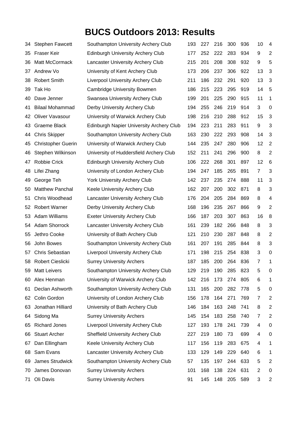| 34 | <b>Stephen Fawcett</b>    | Southampton University Archery Club             | 193 | 227 | 216 | 300 | 936 | 10             | 4              |
|----|---------------------------|-------------------------------------------------|-----|-----|-----|-----|-----|----------------|----------------|
| 35 | Fraser Keir               | <b>Edinburgh University Archery Club</b>        | 177 | 252 | 222 | 283 | 934 | 9              | $\overline{2}$ |
| 36 | Matt McCormack            | Lancaster University Archery Club               | 215 | 201 | 208 | 308 | 932 | 9              | 5              |
| 37 | Andrew Vo                 | University of Kent Archery Club                 | 173 | 206 | 237 | 306 | 922 | 13             | 3              |
| 38 | <b>Robert Smith</b>       | <b>Liverpool University Archery Club</b>        | 211 | 186 | 232 | 291 | 920 | 13             | 3              |
| 39 | Tak Ho                    | <b>Cambridge University Bowmen</b>              | 186 | 215 | 223 | 295 | 919 | 14             | 5              |
| 40 | Dave Jenner               | Swansea University Archery Club                 | 199 | 201 | 225 | 290 | 915 | 11             | 1              |
| 41 | <b>Bilaal Mohammad</b>    | Derby University Archery Club                   | 194 | 255 | 246 | 219 | 914 | 3              | 0              |
| 42 | Oliver Vavasour           | University of Warwick Archery Club              | 198 | 216 | 210 | 288 | 912 | 15             | 3              |
| 43 | <b>Graeme Black</b>       | <b>Edinburgh Napier University Archery Club</b> | 194 | 223 | 211 | 283 | 911 | 9              | 3              |
| 44 | <b>Chris Skipper</b>      | Southampton University Archery Club             | 163 | 230 | 222 | 293 | 908 | 14             | 3              |
| 45 | <b>Christopher Guerin</b> | University of Warwick Archery Club              | 144 | 235 | 247 | 280 | 906 | 12             | $\overline{2}$ |
| 46 | Stephen Wilkinson         | University of Huddersfield Archery Club         | 152 | 211 | 241 | 296 | 900 | 8              | $\overline{2}$ |
| 47 | Robbie Crick              | <b>Edinburgh University Archery Club</b>        | 106 | 222 | 268 | 301 | 897 | 12             | 6              |
| 48 | Lifei Zhang               | University of London Archery Club               | 194 | 247 | 185 | 265 | 891 | 7              | 3              |
| 49 | George Teh                | <b>York University Archery Club</b>             | 142 | 237 | 235 | 274 | 888 | 11             | 3              |
| 50 | <b>Matthew Panchal</b>    | Keele University Archery Club                   | 162 | 207 | 200 | 302 | 871 | 8              | 3              |
| 51 | Chris Woodhead            | Lancaster University Archery Club               | 176 | 204 | 205 | 284 | 869 | 8              | 4              |
| 52 | <b>Robert Warner</b>      | Derby University Archery Club                   | 168 | 196 | 235 | 267 | 866 | 9              | $\overline{c}$ |
| 53 | <b>Adam Williams</b>      | <b>Exeter University Archery Club</b>           | 166 | 187 | 203 | 307 | 863 | 16             | 8              |
| 54 | Adam Shorrock             | Lancaster University Archery Club               | 161 | 239 | 182 | 266 | 848 | 8              | 3              |
| 55 | Jethro Cooke              | University of Bath Archery Club                 | 121 | 210 | 230 | 287 | 848 | 8              | $\overline{c}$ |
| 56 | John Bowes                | Southampton University Archery Club             | 161 | 207 | 191 | 285 | 844 | 8              | 3              |
| 57 | Chris Sebastian           | <b>Liverpool University Archery Club</b>        | 171 | 198 | 215 | 254 | 838 | 3              | 0              |
|    | 58 Robert Cieslicki       | <b>Surrey University Archers</b>                | 187 | 185 | 200 | 264 | 836 | 7              | 1              |
| 59 | <b>Matt Leivers</b>       | Southampton University Archery Club             | 129 | 219 | 190 | 285 | 823 | 5              | 0              |
| 60 | Alex Henman               | University of Warwick Archery Club              | 142 | 216 | 173 | 274 | 805 | 6              | 1              |
| 61 | Declan Ashworth           | Southampton University Archery Club             | 131 | 165 | 200 | 282 | 778 | 5              | 0              |
| 62 | Colin Gordon              | University of London Archery Club               | 156 | 178 | 164 | 271 | 769 | 7              | $\overline{2}$ |
| 63 | Jonathan Hilliard         | University of Bath Archery Club                 | 146 | 184 | 163 | 248 | 741 | 8              | $\overline{2}$ |
| 64 | Sidong Ma                 | <b>Surrey University Archers</b>                | 145 | 154 | 183 | 258 | 740 | 7              | $\overline{c}$ |
| 65 | <b>Richard Jones</b>      | <b>Liverpool University Archery Club</b>        | 127 | 193 | 178 | 241 | 739 | 4              | 0              |
| 66 | <b>Stuart Archer</b>      | <b>Sheffield University Archery Club</b>        | 227 | 219 | 180 | 73  | 699 | 4              | 0              |
| 67 | Dan Ellingham             | Keele University Archery Club                   | 117 | 156 | 119 | 283 | 675 | 4              | 1              |
| 68 | Sam Evans                 | Lancaster University Archery Club               | 133 | 129 | 149 | 229 | 640 | 6              | 1              |
| 69 | James Strudwick           | Southampton University Archery Club             | 57  | 135 | 197 | 244 | 633 | 5              | $\overline{c}$ |
| 70 | James Donovan             | <b>Surrey University Archers</b>                | 101 | 168 | 138 | 224 | 631 | $\overline{2}$ | 0              |
| 71 | Oli Davis                 | <b>Surrey University Archers</b>                | 91  | 145 | 148 | 205 | 589 | 3              | $\overline{c}$ |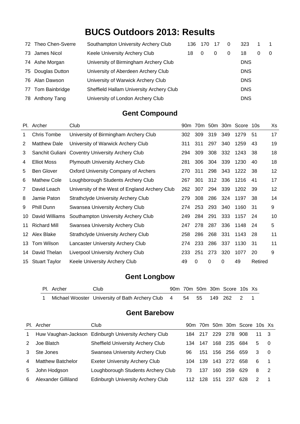|    | 72 Theo Chen-Sverre | Southampton University Archery Club      | 136 | 170 | -17 | 0 | 323        |   | $\overline{1}$ |
|----|---------------------|------------------------------------------|-----|-----|-----|---|------------|---|----------------|
| 73 | James Nicol         | Keele University Archery Club            | 18  | O   | 0   | 0 | 18         | 0 | 0              |
|    | 74 Ashe Morgan      | University of Birmingham Archery Club    |     |     |     |   | <b>DNS</b> |   |                |
|    | 75 Douglas Dutton   | University of Aberdeen Archery Club      |     |     |     |   | <b>DNS</b> |   |                |
| 76 | Alan Dawson         | University of Warwick Archery Club       |     |     |     |   | <b>DNS</b> |   |                |
| 77 | Tom Bainbridge      | Sheffield Hallam University Archery Club |     |     |     |   | <b>DNS</b> |   |                |
| 78 | Anthony Tang        | University of London Archery Club        |     |     |     |   | <b>DNS</b> |   |                |

#### **Gent Compound**

|     | Pl. Archer           | Club                                           | 90 <sub>m</sub> |     |     |     | 70m 50m 30m Score 10s |         | Xs |
|-----|----------------------|------------------------------------------------|-----------------|-----|-----|-----|-----------------------|---------|----|
| 1   | Chris Tombe          | University of Birmingham Archery Club          | 302             | 309 | 319 | 349 | 1279                  | 51      | 17 |
| 2   | <b>Matthew Dale</b>  | University of Warwick Archery Club             | 311             | 311 | 297 | 340 | 1259                  | 43      | 19 |
| 3   | Sanchit Guliani      | Coventry University Archery Club               | 294             | 309 | 308 | 332 | 1243                  | 38      | 18 |
| 4   | <b>Elliot Moss</b>   | <b>Plymouth University Archery Club</b>        | 281             | 306 | 304 | 339 | 1230                  | 40      | 18 |
| 5   | <b>Ben Glover</b>    | <b>Oxford University Company of Archers</b>    | 270             | 311 | 298 | 343 | 1222                  | -38     | 12 |
| 6   | <b>Mathew Cole</b>   | Loughborough Students Archery Club             | 267             | 301 | 312 | 336 | 1216                  | 41      | 17 |
| 7   | David Leach          | University of the West of England Archery Club | 262             | 307 | 294 | 339 | 1202                  | 39      | 12 |
| 8   | Jamie Paton          | <b>Strathclyde University Archery Club</b>     | 279             | 308 | 286 | 324 | 1197                  | 38      | 14 |
| 9   | Phill Dunn           | Swansea University Archery Club                | 274             | 253 | 293 | 340 | 1160                  | 31      | 9  |
| 10  | David Williams       | Southampton University Archery Club            | 249             | 284 | 291 | 333 | 1157                  | 24      | 10 |
| 11  | <b>Richard Mill</b>  | Swansea University Archery Club                | 247             | 278 | 287 | 336 | 1148                  | 24      | 5  |
| 12. | Alex Blake           | <b>Strathclyde University Archery Club</b>     | 258             | 286 | 268 | 331 | 1143                  | 28      | 11 |
| 13  | Tom Wilson           | Lancaster University Archery Club              | 274             | 233 | 286 | 337 | 1130                  | 31      | 11 |
| 14  | David Thelan         | <b>Liverpool University Archery Club</b>       | 233             | 251 | 273 | 320 | 1077                  | 20      | 9  |
| 15  | <b>Stuart Taylor</b> | Keele University Archery Club                  | 49              | 0   | 0   | 0   | 49                    | Retired |    |

#### **Gent Longbow**

| Pl. Archer | Club                                                                  |  |  | 90m 70m 50m 30m Score 10s Xs |  |
|------------|-----------------------------------------------------------------------|--|--|------------------------------|--|
|            | 1 Michael Wooster University of Bath Archery Club 4 54 55 149 262 2 1 |  |  |                              |  |

#### **Gent Barebow**

|                | Pl. Archer               | Club                                                  |      |     |      |     | 90m 70m 50m 30m Score 10s Xs |               |     |
|----------------|--------------------------|-------------------------------------------------------|------|-----|------|-----|------------------------------|---------------|-----|
| $\mathbf{1}$   |                          | Huw Vaughan-Jackson Edinburgh University Archery Club | 184  | 217 | 229  | 278 | 908                          | 11 3          |     |
| 2              | Joe Blatch               | <b>Sheffield University Archery Club</b>              | 134. | 147 | 168  | 235 | 684                          | 5             | - 0 |
|                | Ste Jones                | Swansea University Archery Club                       | 96   | 151 | 156  | 256 | 659                          | 3             | - 0 |
| $\overline{4}$ | <b>Matthew Batchelor</b> | <b>Exeter University Archery Club</b>                 | 104  | 139 | 143. | 272 | 658                          | 6             |     |
| 5.             | John Hodgson             | Loughborough Students Archery Club                    | 73   | 137 | 160  | 259 | 629                          | -8            |     |
| 6              | Alexander Gilliland      | <b>Edinburgh University Archery Club</b>              | 112  | 128 | 151  | 237 | 628                          | $\mathcal{P}$ |     |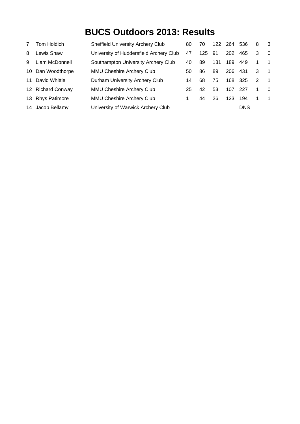|    | Tom Holdich          | <b>Sheffield University Archery Club</b> | 80 | 70  | 122 | -264 | 536        | 8 | - 3            |
|----|----------------------|------------------------------------------|----|-----|-----|------|------------|---|----------------|
| 8  | Lewis Shaw           | University of Huddersfield Archery Club  | 47 | 125 | 91  | 202  | 465        | 3 | $\overline{0}$ |
| 9  | Liam McDonnell       | Southampton University Archery Club      | 40 | 89  | 131 | 189  | 449        | 1 | $\overline{1}$ |
| 10 | Dan Woodthorpe       | MMU Cheshire Archery Club                | 50 | 86  | 89  | 206  | 431        | 3 | $\overline{1}$ |
| 11 | David Whittle        | Durham University Archery Club           | 14 | 68  | 75  | 168  | 325        | 2 | $\overline{1}$ |
|    | 12 Richard Conway    | MMU Cheshire Archery Club                | 25 | 42  | 53  | 107  | -227       |   | $\Omega$       |
| 13 | <b>Rhys Patimore</b> | MMU Cheshire Archery Club                | 1. | 44  | 26  | 123  | 194        | 1 | $\overline{1}$ |
| 14 | Jacob Bellamy        | University of Warwick Archery Club       |    |     |     |      | <b>DNS</b> |   |                |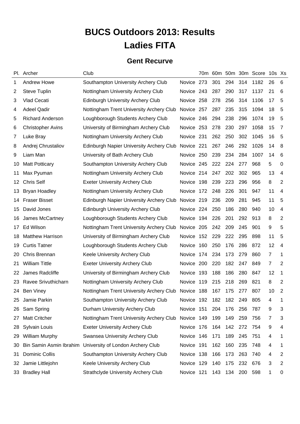# **BUCS Outdoors 2013: Results Ladies FITA**

#### **Gent Recurve**

|         | Pl. Archer               | Club                                            |               |     |         |         |         | 70m 60m 50m 30m Score 10s Xs |                |                |
|---------|--------------------------|-------------------------------------------------|---------------|-----|---------|---------|---------|------------------------------|----------------|----------------|
| 1       | <b>Andrew Howe</b>       | Southampton University Archery Club             | Novice 273    |     | 301     | 294     | 314     | 1182                         | 26             | 6              |
| 2       | Steve Tuplin             | Nottingham University Archery Club              | Novice 243    |     | 287     | 290     | 317     | 1137                         | 21             | 6              |
| 3       | Vlad Cecati              | <b>Edinburgh University Archery Club</b>        | Novice 258    |     | 278     | 256     | 314     | 1106                         | 17             | 5              |
| 4       | <b>Adeel Qadir</b>       | Nottingham Trent University Archery Club        | Novice 257    |     | 287     | 235     | 315     | 1094                         | 18             | 5              |
| 5       | <b>Richard Anderson</b>  | Loughborough Students Archery Club              | Novice 246    |     | 294     | 238     | 296     | 1074                         | 19             | 5              |
| 6       | <b>Christopher Avins</b> | University of Birmingham Archery Club           | Novice 253    |     | 278     | 230     | 297     | 1058                         | 15             | 7              |
| 7       | Luke Bray                | Nottingham University Archery Club              | Novice 231    |     | 262     | 250     | 302     | 1045                         | 16             | 5              |
| 8       | Andrej Chrustaliov       | Edinburgh Napier University Archery Club        | Novice 221    |     | 267     | 246     | 292     | 1026                         | 14             | 8              |
| 9       | Liam Man                 | University of Bath Archery Club                 | Novice 250    |     | 239     | 234     | 284     | 1007                         | 14             | 6              |
| 10      | <b>Matt Potticary</b>    | Southampton University Archery Club             | Novice 245    |     | 222 224 |         | 277     | 968                          | 5              | 0              |
| 11      | Max Pyuman               | Nottingham University Archery Club              | Novice 214    |     | 247     | 202     | 302     | 965                          | 13             | 4              |
| $12 \,$ | <b>Chris Self</b>        | <b>Exeter University Archery Club</b>           | <b>Novice</b> | 198 | 239     | 223     | 296     | 956                          | 8              | $\overline{2}$ |
| 13      | <b>Bryan Hoadley</b>     | Nottingham University Archery Club              | <b>Novice</b> | 172 | 248     | 226     | 301     | 947                          | 11             | 4              |
| 14      | <b>Fraser Bisset</b>     | <b>Edinburgh Napier University Archery Club</b> | Novice 219    |     | 236     | 209     | 281     | 945                          | 11             | 5              |
| 15      | David Jones              | <b>Edinburgh University Archery Club</b>        | Novice 224    |     | 250     | 186     | 280     | 940                          | 10             | 4              |
| 16      | James McCartney          | Loughborough Students Archery Club              | Novice        | 194 | 226     | 201     | 292     | 913                          | 8              | 2              |
| 17      | Ed Wilson                | Nottingham Trent University Archery Club        | Novice 205    |     | 242     | 209     | 245     | 901                          | 9              | 5              |
| 18      | <b>Matthew Harrison</b>  | University of Birmingham Archery Club           | <b>Novice</b> | 152 | 229     | 222     | 295     | 898                          | 11             | 5              |
| 19      | <b>Curtis Tatner</b>     | Loughborough Students Archery Club              | <b>Novice</b> | 160 | 250     | 176     | 286     | 872                          | 12             | 4              |
| 20      | Chris Brennan            | Keele University Archery Club                   | <b>Novice</b> | 174 | 234     | 173     | 279     | 860                          | $\overline{7}$ | 1              |
| 21      | <b>William Tittle</b>    | <b>Exeter University Archery Club</b>           | <b>Novice</b> | 200 | 220     | 182     | 247     | 849                          | $\overline{7}$ | $\overline{2}$ |
| 22      | James Radcliffe          | University of Birmingham Archery Club           | Novice        | 193 | 188     | 186     | 280     | 847                          | 12             | 1              |
| 23      | Ravee Srivuthicharn      | Nottingham University Archery Club              | Novice        | 119 | 215     | 218     | 269     | 821                          | 8              | $\overline{2}$ |
| 24      | <b>Ben Viney</b>         | Nottingham Trent University Archery Club        | Novice 188    |     | 167     | 175     | 277     | 807                          | 10             | 2              |
| 25      | Jamie Parkin             | Southampton University Archery Club             | Novice 192    |     | 182     | 182     | 249     | 805                          | 4              | 1              |
| 26      | Sam Spring               | Durham University Archery Club                  | Novice 151    |     | 204     | 176     | 256     | 787                          | 9              | 3              |
| 27      | <b>Matt Critcher</b>     | Nottingham Trent University Archery Club        | Novice 149    |     | 199     | 149     | 259     | 756                          | 7              | 3              |
| 28      | Sylvain Louis            | <b>Exeter University Archery Club</b>           | Novice 176    |     | 164     | 142     | 272     | 754                          | 9              | 4              |
| 29      | <b>William Murphy</b>    | Swansea University Archery Club                 | Novice 146    |     | 171     | 189     | 245     | 751                          | 4              | 1              |
| 30      | Bin Samin Asmin Ibrahim  | University of London Archery Club               | Novice 191    |     | 162     | 160     | 235     | 748                          | 4              | 1              |
| 31      | <b>Dominic Collis</b>    | Southampton University Archery Club             | Novice 138    |     | 166     | 173     | 263     | 740                          | 4              | 2              |
| 32      | Jamie Littlejohn         | Keele University Archery Club                   | Novice 129    |     | 140     | 175     | 232     | 676                          | 3              | 2              |
| 33      | <b>Bradley Hall</b>      | <b>Strathclyde University Archery Club</b>      | Novice 121    |     |         | 143 134 | 200 598 |                              | 1              | 0              |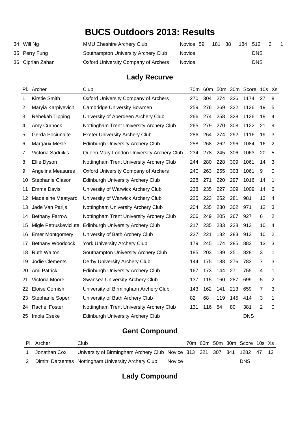| 34 Will Ng       | <b>MMU Cheshire Archery Club</b>     | Novice 59     | 181 | -88 | 184 512 |            |  |
|------------------|--------------------------------------|---------------|-----|-----|---------|------------|--|
| 35 Perry Fung    | Southampton University Archery Club  | <b>Novice</b> |     |     |         | <b>DNS</b> |  |
| 36 Ciprian Zahan | Oxford University Company of Archers | <b>Novice</b> |     |     |         | <b>DNS</b> |  |

#### **Lady Recurve**

| Pl. Archer             | Club                                        |     |     |     |     |            | 10s Xs                |                |
|------------------------|---------------------------------------------|-----|-----|-----|-----|------------|-----------------------|----------------|
| Kirstie Smith          | <b>Oxford University Company of Archers</b> | 270 | 304 | 274 | 326 | 1174       | 27                    | 8              |
| Maryia Karpiyevich     | Cambridge University Bowmen                 | 259 | 276 | 269 | 322 | 1126       | 19                    | 5              |
| Rebekah Tipping        | University of Aberdeen Archery Club         | 266 | 274 | 258 | 328 | 1126       | 19                    | $\overline{4}$ |
| Amy Curnock            | Nottingham Trent University Archery Club    | 265 | 279 | 270 | 308 | 1122       | 21                    | 9              |
| Gerda Pociunaite       | <b>Exeter University Archery Club</b>       | 286 | 264 | 274 | 292 | 1116       | 19                    | 3              |
| Margaux Mesle          | <b>Edinburgh University Archery Club</b>    | 258 | 268 | 262 | 296 | 1084       | 16                    | $\overline{2}$ |
| Victoria Saduikis      | Queen Mary London University Archery Club   | 234 | 278 | 245 | 306 | 1063       | 20                    | 5              |
| Ellie Dyson            | Nottingham Trent University Archery Club    | 244 | 280 | 228 | 309 | 1061       | 14                    | $\mathbf{3}$   |
| Angelina Measures      | <b>Oxford University Company of Archers</b> | 240 | 263 | 255 | 303 | 1061       | 9                     | $\mathbf 0$    |
| Stephanie Clason       | <b>Edinburgh University Archery Club</b>    | 228 | 271 | 220 | 297 | 1016       | 14                    | 1              |
| Emma Davis             | University of Warwick Archery Club          | 238 | 235 | 227 | 309 | 1009       | 14                    | 6              |
| Madeleine Meatyard     | University of Warwick Archery Club          | 225 | 223 | 252 | 281 | 981        | 13                    | $\overline{4}$ |
| Jade Van Parijs        | Nottingham University Archery Club          | 204 | 235 | 230 | 302 | 971        | 12                    | 3              |
| <b>Bethany Farrow</b>  | Nottingham Trent University Archery Club    | 206 | 249 | 205 | 267 | 927        | 6                     | $\overline{2}$ |
| Migle Petruskeviciute  | <b>Edinburgh University Archery Club</b>    | 217 | 235 | 233 | 228 | 913        | 10                    | $\overline{4}$ |
| <b>Emer Montgomery</b> | University of Bath Archery Club             | 227 | 221 | 182 | 283 | 913        | 10                    | $\overline{2}$ |
| Bethany Woodcock       | <b>York University Archery Club</b>         | 179 | 245 | 174 | 285 | 883        | 13                    | $\mathbf{3}$   |
| <b>Ruth Walton</b>     | Southampton University Archery Club         | 185 | 203 | 189 | 251 | 828        | 3                     | 1              |
| Jodie Clements         | Derby University Archery Club               | 144 | 175 | 188 | 276 | 783        | $\overline{7}$        | 3              |
| Ami Patrick            | <b>Edinburgh University Archery Club</b>    | 167 | 173 | 144 | 271 | 755        | 4                     | 1              |
| Victoria Moore         | Swansea University Archery Club             | 137 | 115 | 160 | 287 | 699        | 5                     | $\overline{2}$ |
| Eloise Cornish         | University of Birmingham Archery Club       | 143 | 162 | 141 | 213 | 659        | $\overline{7}$        | $\mathbf{3}$   |
| Stephanie Soper        | University of Bath Archery Club             | 82  | 68  | 119 | 145 | 414        | 3                     | 1              |
| <b>Rachel Foster</b>   | Nottingham Trent University Archery Club    | 131 | 116 | 54  | 80  | 381        | $\overline{2}$        | $\mathbf 0$    |
| Imola Cseke            | <b>Edinburgh University Archery Club</b>    |     |     |     |     | <b>DNS</b> |                       |                |
| 14<br>24<br>25         |                                             |     |     |     |     |            | 70m 60m 50m 30m Score |                |

#### **Gent Compound**

| PI. Archer   | Club                                                                    |               |  |  | 70m 60m 50m 30m Score 10s Xs |  |
|--------------|-------------------------------------------------------------------------|---------------|--|--|------------------------------|--|
| Jonathan Cox | University of Birmingham Archery Club Novice 313 321 307 341 1282 47 12 |               |  |  |                              |  |
|              | Dimitri Darzentas Nottingham University Archery Club                    | <b>Novice</b> |  |  | DNS                          |  |

#### **Lady Compound**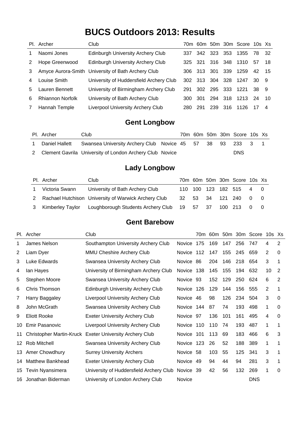|                | Pl. Archer              | Club                                               |     |      |             |      | 70m 60m 50m 30m Score 10s Xs |      |      |
|----------------|-------------------------|----------------------------------------------------|-----|------|-------------|------|------------------------------|------|------|
| 1              | Naomi Jones             | <b>Edinburgh University Archery Club</b>           | 337 |      | 342 323 353 |      | 1355                         | - 78 | - 32 |
| 2              | Hope Greenwood          | <b>Edinburgh University Archery Club</b>           | 325 | -321 | 316 348     |      | 1310                         | 57   | 18   |
| 3              |                         | Amyce Aurora-Smith University of Bath Archery Club | 306 | 313  | -301        | -339 | 1259                         | 42   | - 15 |
| $\overline{4}$ | Louise Smith            | University of Huddersfield Archery Club            | 302 |      | 313 304 328 |      | 1247                         | 30-  | - 9  |
| 5.             | Lauren Bennett          | University of Birmingham Archery Club              | 291 |      |             |      | 302 295 333 1221             | 38 9 |      |
| 6              | <b>Rhiannon Norfolk</b> | University of Bath Archery Club                    | 300 | 301  | 294 318     |      | 1213                         | 24   | -10  |
| $\overline{7}$ | Hannah Temple           | Liverpool University Archery Club                  | 280 | 291  | 239 316     |      | 1126                         |      | 4    |

#### **Gent Longbow**

| PI. Archer | Club                                                                    |  |  | 70m 60m 50m 30m Score 10s Xs |  |
|------------|-------------------------------------------------------------------------|--|--|------------------------------|--|
|            | Daniel Hallett Swansea University Archery Club Novice 45 57 38 93 233 3 |  |  |                              |  |
|            | 2 Clement Gavrila University of London Archery Club Novice              |  |  | <b>DNS</b>                   |  |

#### **Lady Longbow**

| PI. Archer     | Club                                                                     |  |  | 70m 60m 50m 30m Score 10s Xs |  |
|----------------|--------------------------------------------------------------------------|--|--|------------------------------|--|
| Victoria Swann | University of Bath Archery Club                                          |  |  | 110 100 123 182 515 4 0      |  |
|                | 2 Rachael Hutchison University of Warwick Archery Club                   |  |  | 32 53 34 121 240 0 0         |  |
|                | Kimberley Taylor Loughborough Students Archery Club 19 57 37 100 213 0 0 |  |  |                              |  |

#### **Gent Barebow**

|                 | Pl. Archer                      | Club                                     |            | 70m | 60m |     |     | 50m 30m Score | $10s$ $Xs$     |                |
|-----------------|---------------------------------|------------------------------------------|------------|-----|-----|-----|-----|---------------|----------------|----------------|
| 1               | James Nelson                    | Southampton University Archery Club      | Novice     | 175 | 169 | 147 | 256 | 747           | 4              | $\overline{2}$ |
| 2               | Liam Dyer                       | MMU Cheshire Archery Club                | Novice     | 112 | 147 | 155 | 245 | 659           | 2              | 0              |
| 3               | Luke Edwards                    | Swansea University Archery Club          | Novice     | 86  | 204 | 146 | 218 | 654           | 3              | 1              |
| 4               | lan Hayes                       | University of Birmingham Archery Club    | Novice     | 138 | 145 | 155 | 194 | 632           | 10             | 2              |
| 5               | Stephen Moore                   | Swansea University Archery Club          | Novice     | 93  | 152 | 129 | 250 | 624           | 6              | $\overline{2}$ |
| 6               | Chris Thomson                   | <b>Edinburgh University Archery Club</b> | Novice     | 126 | 129 | 144 | 156 | 555           | 2              | 1              |
| 7               | Harry Baggaley                  | <b>Liverpool University Archery Club</b> | Novice 46  |     | 98  | 126 | 234 | 504           | $\mathfrak{S}$ | $\Omega$       |
| 8               | John McGrath                    | Swansea University Archery Club          | Novice 144 |     | 87  | 74  | 193 | 498           | 1              | $\Omega$       |
| 9               | <b>Eliott Rooke</b>             | <b>Exeter University Archery Club</b>    | Novice 97  |     | 136 | 101 | 161 | 495           | 4              | 0              |
| 10              | <b>Emir Pasanovic</b>           | Liverpool University Archery Club        | Novice     | 110 | 110 | 74  | 193 | 487           | 1              | 1              |
| 11              | <b>Christopher Martin-Kruck</b> | <b>Exeter University Archery Club</b>    | Novice     | 101 | 113 | 69  | 183 | 466           | 6              | 3              |
| 12 <sup>°</sup> | Rob Mitchell                    | Swansea University Archery Club          | Novice 123 |     | 26  | 52  | 188 | 389           | 1              |                |
| 13              | Amer Chowdhury                  | <b>Surrey University Archers</b>         | Novice 58  |     | 103 | 55  | 125 | 341           | 3              | 1              |
| 14              | <b>Matthew Bankhead</b>         | <b>Exeter University Archery Club</b>    | Novice 49  |     | 94  | 44  | 94  | 281           | 3              | 1              |
| 15              | Tevin Nyansimera                | University of Huddersfield Archery Club  | Novice 39  |     | 42  | 56  | 132 | 269           | 1              | 0              |
| 16              | Jonathan Biderman               | University of London Archery Club        | Novice     |     |     |     |     | <b>DNS</b>    |                |                |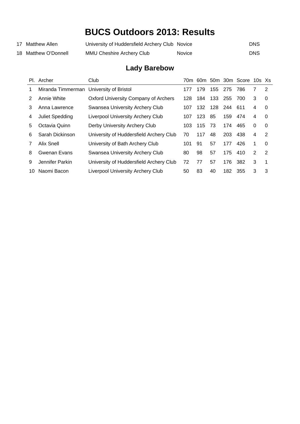| 17 Matthew Allen     | University of Huddersfield Archery Club Novice |               | DNS. |
|----------------------|------------------------------------------------|---------------|------|
| 18 Matthew O'Donnell | <b>MMU Cheshire Archery Club</b>               | <b>Novice</b> | DNS. |

### **Lady Barebow**

|    | Pl. Archer                              | Club                                        |      |     |     |             | 70m 60m 50m 30m Score 10s Xs |   |          |
|----|-----------------------------------------|---------------------------------------------|------|-----|-----|-------------|------------------------------|---|----------|
| 1  | Miranda Timmerman University of Bristol |                                             | 177  | 179 | 155 | 275         | 786                          |   | 2        |
| 2  | Annie White                             | <b>Oxford University Company of Archers</b> | 128. | 184 | 133 | 255         | 700                          | 3 | 0        |
| 3  | Anna Lawrence                           | Swansea University Archery Club             | 107  | 132 |     | 128 244 611 |                              | 4 | 0        |
| 4  | <b>Juliet Spedding</b>                  | <b>Liverpool University Archery Club</b>    | 107  | 123 | 85  | 159         | 474                          | 4 | $\Omega$ |
| 5  | Octavia Quinn                           | Derby University Archery Club               | 103  | 115 | 73  | 174         | 465                          | 0 | $\Omega$ |
| 6  | Sarah Dickinson                         | University of Huddersfield Archery Club     | 70   | 117 | 48  | 203         | 438                          | 4 | 2        |
| 7  | <b>Alix Snell</b>                       | University of Bath Archery Club             | 101  | 91  | 57  | 177         | 426                          |   | 0        |
| 8  | Gwenan Evans                            | Swansea University Archery Club             | 80   | 98  | 57  | 175         | 410                          | 2 | 2        |
| 9  | Jennifer Parkin                         | University of Huddersfield Archery Club     | 72   | 77  | 57  | 176         | 382                          | 3 | 1        |
| 10 | Naomi Bacon                             | Liverpool University Archery Club           | 50   | 83  | 40  | 182         | 355                          | 3 | 3        |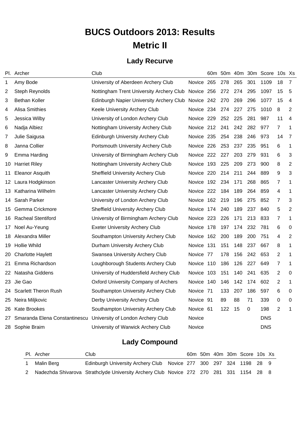# **BUCS Outdoors 2013: Results Metric II**

#### **Lady Recurve**

|    | Pl. Archer                    | Club                                        |            | 60 <sub>m</sub> |     |     |     | 50m 40m 30m Score 10s Xs |                |                |
|----|-------------------------------|---------------------------------------------|------------|-----------------|-----|-----|-----|--------------------------|----------------|----------------|
| 1  | Amy Bode                      | University of Aberdeen Archery Club         | Novice 265 |                 | 278 | 265 | 301 | 1109                     | 18             | 7              |
| 2  | Steph Reynolds                | Nottingham Trent University Archery Club    | Novice 256 |                 | 272 | 274 | 295 | 1097                     | 15             | 5              |
| 3  | <b>Bethan Koller</b>          | Edinburgh Napier University Archery Club    | Novice 242 |                 | 270 | 269 | 296 | 1077                     | 15             | 4              |
| 4  | <b>Alisa Smithies</b>         | Keele University Archery Club               | Novice 234 |                 | 274 | 227 | 275 | 1010                     | 8              | 2              |
| 5  | Jessica Wilby                 | University of London Archery Club           | Novice 229 |                 | 252 | 225 | 281 | 987                      | 11             | 4              |
| 6  | Nadja Albiez                  | Nottingham University Archery Club          | Novice 212 |                 | 241 | 242 | 282 | 977                      | 7              | 1              |
| 7  | Julie Saigusa                 | <b>Edinburgh University Archery Club</b>    | Novice 235 |                 | 254 | 238 | 246 | 973                      | 14             | 7              |
| 8  | Janna Collier                 | Portsmouth University Archery Club          | Novice 226 |                 | 253 | 237 | 235 | 951                      | 6              | 1              |
| 9  | Emma Harding                  | University of Birmingham Archery Club       | Novice 222 |                 | 227 | 203 | 279 | 931                      | 6              | 3              |
| 10 | <b>Harriet Riley</b>          | Nottingham University Archery Club          | Novice 193 |                 | 225 | 209 | 273 | 900                      | 8              | 2              |
| 11 | <b>Eleanor Asquith</b>        | <b>Sheffield University Archery Club</b>    | Novice 220 |                 | 214 | 211 | 244 | 889                      | 9              | 3              |
| 12 | Laura Hodgkinson              | Lancaster University Archery Club           | Novice 192 |                 | 234 | 171 | 268 | 865                      | 7              | 1              |
| 13 | Katharina Wilhelm             | Lancaster University Archery Club           | Novice 222 |                 | 184 | 189 | 264 | 859                      | 4              | 1              |
| 14 | Sarah Parker                  | University of London Archery Club           | Novice 162 |                 | 219 | 196 | 275 | 852                      | 7              | 3              |
| 15 | Gemma Crickmore               | <b>Sheffield University Archery Club</b>    | Novice     | 174             | 240 | 189 | 237 | 840                      | 5              | $\overline{2}$ |
| 16 | <b>Racheal Stentiford</b>     | University of Birmingham Archery Club       | Novice 223 |                 | 226 | 171 | 213 | 833                      | 7              | 1              |
| 17 | Noel Au-Yeung                 | <b>Exeter University Archery Club</b>       | Novice     | 178             | 197 | 174 | 232 | 781                      | 6              | 0              |
| 18 | Alexandra Miller              | Southampton University Archery Club         | Novice     | 162             | 200 | 189 | 200 | 751                      | 4              | $\overline{2}$ |
| 19 | <b>Hollie Whild</b>           | Durham University Archery Club              | Novice 131 |                 | 151 | 148 | 237 | 667                      | 8              | 1              |
| 20 | <b>Charlotte Haylett</b>      | Swansea University Archery Club             | Novice 77  |                 | 178 | 156 | 242 | 653                      | $\overline{2}$ | 1              |
| 21 | Emma Richardson               | Loughborough Students Archery Club          | Novice 110 |                 | 186 | 126 | 227 | 649                      | 7              | 1              |
| 22 | Natasha Giddens               | University of Huddersfield Archery Club     | Novice     | 103             | 151 | 140 | 241 | 635                      | $\overline{2}$ | 0              |
| 23 | Jie Gao                       | <b>Oxford University Company of Archers</b> | Novice 140 |                 | 146 | 142 | 174 | 602                      | $\overline{2}$ | 1              |
| 24 | <b>Scarlett Theron Rush</b>   | Southampton University Archery Club         | Novice 71  |                 | 133 | 207 | 186 | 597                      | 6              | 0              |
| 25 | Neira Miljkovic               | Derby University Archery Club               | Novice 91  |                 | 89  | 88  | 71  | 339                      | 0              | $\mathbf 0$    |
| 26 | <b>Kate Brookes</b>           | Southampton University Archery Club         | Novice 61  |                 | 122 | 15  | 0   | 198                      | 2              | 1              |
| 27 | Smaranda Elena Constantinescu | University of London Archery Club           | Novice     |                 |     |     |     | <b>DNS</b>               |                |                |
| 28 | Sophie Braim                  | University of Warwick Archery Club          | Novice     |                 |     |     |     | <b>DNS</b>               |                |                |

### **Lady Compound**

|  | Pl. Archer | Club                                                                                    |  |  | 60m 50m 40m 30m Score 10s Xs |  |
|--|------------|-----------------------------------------------------------------------------------------|--|--|------------------------------|--|
|  | Malin Berg | Edinburgh University Archery Club Novice 277 300 297 324 1198 28 9                      |  |  |                              |  |
|  |            | Nadezhda Shivarova Strathclyde University Archery Club Novice 272 270 281 331 1154 28 8 |  |  |                              |  |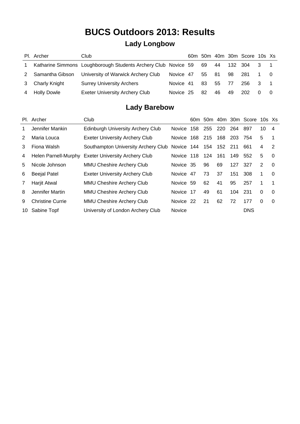### **Lady Longbow**

|              | Pl. Archer         | Club                                                           |           |    |       |         | 60m 50m 40m 30m Score 10s Xs |              |  |
|--------------|--------------------|----------------------------------------------------------------|-----------|----|-------|---------|------------------------------|--------------|--|
| $\mathbf{1}$ |                    | Katharine Simmons Loughborough Students Archery Club Novice 59 |           | 69 | 44    | 132 304 |                              | 3            |  |
|              | Samantha Gibson    | University of Warwick Archery Club                             | Novice 47 | 55 | -81   | 98      | -281                         |              |  |
| 3            | Charly Knight      | <b>Surrey University Archers</b>                               | Novice 41 | 83 | 55 77 |         | 256                          | $\mathbf{3}$ |  |
| 4            | <b>Holly Dowle</b> | <b>Exeter University Archery Club</b>                          | Novice 25 | 82 | 46.   | 49      | 202                          |              |  |

#### **Lady Barebow**

|    | Pl. Archer              | Club                                  |                |     |     |         |     | 60m 50m 40m 30m Score | $10s$ $Xs$ |          |
|----|-------------------------|---------------------------------------|----------------|-----|-----|---------|-----|-----------------------|------------|----------|
| 1  | Jennifer Mankin         | Edinburgh University Archery Club     | Novice:        | 158 | 255 | - 220   | 264 | -897                  | 10         | 4        |
| 2  | Maria Louca             | <b>Exeter University Archery Club</b> | Novice         | 168 | 215 | 168     | 203 | 754                   | 5          | 1        |
| 3  | Fiona Walsh             | Southampton University Archery Club   | Novice 144 154 |     |     | 152 211 |     | 661                   | 4          | 2        |
| 4  | Helen Parnell-Murphy    | <b>Exeter University Archery Club</b> | Novice 118     |     | 124 | 161     | 149 | 552                   | 5          | 0        |
| 5  | Nicole Johnson          | <b>MMU Cheshire Archery Club</b>      | Novice 35      |     | 96  | 69      | 127 | 327                   | 2          | $\Omega$ |
| 6  | <b>Beejal Patel</b>     | <b>Exeter University Archery Club</b> | Novice         | -47 | 73  | 37      | 151 | 308                   | 1.         | 0        |
| 7  | Harjit Atwal            | <b>MMU Cheshire Archery Club</b>      | Novice 59      |     | 62  | 41      | 95  | 257                   | 1          | 1        |
| 8  | Jennifer Martin         | <b>MMU Cheshire Archery Club</b>      | Novice 17      |     | 49  | 61      | 104 | 231                   | $\Omega$   | 0        |
| 9  | <b>Christine Currie</b> | MMU Cheshire Archery Club             | Novice 22      |     | 21  | 62      | 72  | 177                   | $\Omega$   | 0        |
| 10 | Sabine Topf             | University of London Archery Club     | Novice         |     |     |         |     | <b>DNS</b>            |            |          |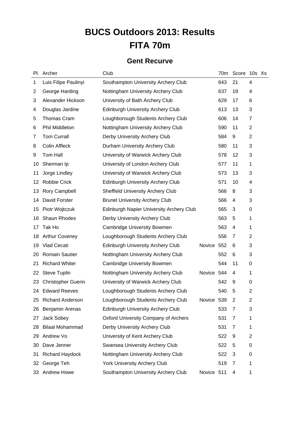# **BUCS Outdoors 2013: Results FITA 70m**

#### **Gent Recurve**

|             | Pl. Archer                | Club                                            |            | 70 <sub>m</sub> | Score 10s Xs |                |  |
|-------------|---------------------------|-------------------------------------------------|------------|-----------------|--------------|----------------|--|
| $\mathbf 1$ | Luis Filipe Paulinyi      | Southampton University Archery Club             |            | 643             | 21           | 4              |  |
| 2           | George Harding            | Nottingham University Archery Club              |            | 637             | 19           | 4              |  |
| 3           | Alexander Hickson         | University of Bath Archery Club                 |            | 629             | 17           | 6              |  |
| 4           | Douglas Jardine           | <b>Edinburgh University Archery Club</b>        |            | 613             | 13           | 3              |  |
| 5           | <b>Thomas Cram</b>        | Loughborough Students Archery Club              |            | 606             | 14           | 7              |  |
| 6           | Phil Middleton            | Nottingham University Archery Club              |            | 590             | 11           | 2              |  |
| 7           | <b>Tom Currall</b>        | Derby University Archery Club                   |            | 584             | 9            | $\overline{2}$ |  |
| 8           | Colin Affleck             | Durham University Archery Club                  |            | 580             | 11           | 3              |  |
| 9           | Tom Hall                  | University of Warwick Archery Club              |            | 578             | 12           | 3              |  |
| 10          | Sherman Ip                | University of London Archery Club               |            | 577             | 11           | 1              |  |
| 11          | Jorge Lindley             | University of Warwick Archery Club              |            | 573             | 13           | 3              |  |
| 12          | Robbie Crick              | <b>Edinburgh University Archery Club</b>        |            | 571             | 10           | 4              |  |
| 13          | Rory Campbell             | <b>Sheffield University Archery Club</b>        |            | 566             | 8            | 3              |  |
| 14          | David Forster             | <b>Brunel University Archery Club</b>           |            | 566             | 4            | 3              |  |
| 15          | Piotr Wojtczuk            | <b>Edinburgh Napier University Archery Club</b> |            | 565             | 3            | $\pmb{0}$      |  |
| 16          | Shaun Rhodes              | Derby University Archery Club                   |            | 563             | 5            | 1              |  |
| 17          | Tak Ho                    | <b>Cambridge University Bowmen</b>              |            | 563             | 4            | 1              |  |
| 18          | <b>Arthur Coveney</b>     | Loughborough Students Archery Club              |            | 556             | 7            | 2              |  |
| 19          | <b>Vlad Cecati</b>        | <b>Edinburgh University Archery Club</b>        | Novice 552 |                 | 6            | 3              |  |
| 20          | <b>Romain Sautier</b>     | Nottingham University Archery Club              |            | 552             | 6            | 3              |  |
| 21          | <b>Richard Whiter</b>     | <b>Cambridge University Bowmen</b>              |            | 544             | 11           | 0              |  |
| 22          | <b>Steve Tuplin</b>       | Nottingham University Archery Club              | Novice 544 |                 | 4            | 1              |  |
| 23          | <b>Christopher Guerin</b> | University of Warwick Archery Club              |            | 542             | 9            | 0              |  |
|             | 24 Edward Reeves          | Loughborough Students Archery Club              |            | 540             | 5            | $\overline{c}$ |  |
| 25          | <b>Richard Anderson</b>   | Loughborough Students Archery Club              | Novice 539 |                 | 2            | $\overline{2}$ |  |
| 26          | Benjamin Arenas           | <b>Edinburgh University Archery Club</b>        |            | 533             | 7            | 3              |  |
| 27          | Jack Sobey                | <b>Oxford University Company of Archers</b>     |            | 531             | 7            | 1              |  |
| 28          | <b>Bilaal Mohammad</b>    | Derby University Archery Club                   |            | 531             | 7            | 1              |  |
| 29          | Andrew Vo                 | University of Kent Archery Club                 |            | 522             | 9            | 2              |  |
| 30          | Dave Jenner               | Swansea University Archery Club                 |            | 522             | 5            | 0              |  |
| 31          | <b>Richard Haydock</b>    | Nottingham University Archery Club              |            | 522             | 3            | 0              |  |
| 32          | George Teh                | York University Archery Club                    |            | 519             | 7            | 1              |  |
|             | 33 Andrew Howe            | Southampton University Archery Club             | Novice 511 |                 | 4            | 1              |  |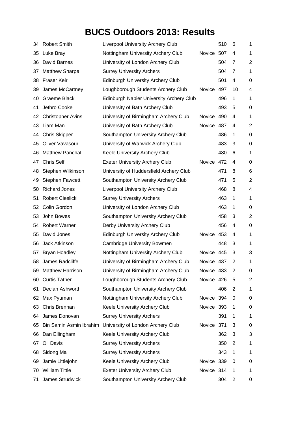| 34 | <b>Robert Smith</b>      | <b>Liverpool University Archery Club</b>        |            | 510 | 6  | 1              |
|----|--------------------------|-------------------------------------------------|------------|-----|----|----------------|
| 35 | Luke Bray                | Nottingham University Archery Club              | Novice 507 |     | 4  | $\mathbf 1$    |
| 36 | David Barnes             | University of London Archery Club               |            | 504 | 7  | $\overline{2}$ |
| 37 | <b>Matthew Sharpe</b>    | <b>Surrey University Archers</b>                |            | 504 | 7  | $\mathbf 1$    |
| 38 | Fraser Keir              | <b>Edinburgh University Archery Club</b>        |            | 501 | 4  | 0              |
| 39 | James McCartney          | Loughborough Students Archery Club              | Novice     | 497 | 10 | 4              |
| 40 | <b>Graeme Black</b>      | <b>Edinburgh Napier University Archery Club</b> |            | 496 | 1  | 1              |
| 41 | Jethro Cooke             | University of Bath Archery Club                 |            | 493 | 5  | 0              |
| 42 | <b>Christopher Avins</b> | University of Birmingham Archery Club           | Novice 490 |     | 4  | $\mathbf 1$    |
| 43 | Liam Man                 | University of Bath Archery Club                 | Novice 487 |     | 4  | $\overline{2}$ |
| 44 | <b>Chris Skipper</b>     | Southampton University Archery Club             |            | 486 | 1  | 0              |
| 45 | Oliver Vavasour          | University of Warwick Archery Club              |            | 483 | 3  | 0              |
| 46 | <b>Matthew Panchal</b>   | Keele University Archery Club                   |            | 480 | 6  | $\mathbf 1$    |
| 47 | <b>Chris Self</b>        | <b>Exeter University Archery Club</b>           | Novice     | 472 | 4  | 0              |
| 48 | Stephen Wilkinson        | University of Huddersfield Archery Club         |            | 471 | 8  | 6              |
| 49 | <b>Stephen Fawcett</b>   | Southampton University Archery Club             |            | 471 | 5  | $\overline{2}$ |
| 50 | <b>Richard Jones</b>     | <b>Liverpool University Archery Club</b>        |            | 468 | 8  | 4              |
| 51 | <b>Robert Cieslicki</b>  | <b>Surrey University Archers</b>                |            | 463 | 1  | 1              |
| 52 | Colin Gordon             | University of London Archery Club               |            | 463 | 1  | 0              |
| 53 | John Bowes               | Southampton University Archery Club             |            | 458 | 3  | $\overline{2}$ |
| 54 | <b>Robert Warner</b>     | Derby University Archery Club                   |            | 456 | 4  | 0              |
| 55 | David Jones              | <b>Edinburgh University Archery Club</b>        | Novice     | 453 | 4  | 1              |
| 56 | Jack Atkinson            | <b>Cambridge University Bowmen</b>              |            | 448 | 3  | 1              |
| 57 | <b>Bryan Hoadley</b>     | Nottingham University Archery Club              | Novice 445 |     | 3  | 3              |
| 58 | James Radcliffe          | University of Birmingham Archery Club           | Novice 437 |     | 2  | 1              |
| 59 | <b>Matthew Harrison</b>  | University of Birmingham Archery Club           | Novice 433 |     | 2  | 0              |
| 60 | <b>Curtis Tatner</b>     | Loughborough Students Archery Club              | Novice 426 |     | 5  | 2              |
| 61 | Declan Ashworth          | Southampton University Archery Club             |            | 406 | 2  | 1              |
| 62 | Max Pyuman               | Nottingham University Archery Club              | Novice 394 |     | 0  | 0              |
| 63 | Chris Brennan            | Keele University Archery Club                   | Novice 393 |     | 1  | 0              |
| 64 | James Donovan            | <b>Surrey University Archers</b>                |            | 391 | 1  | 1              |
| 65 | Bin Samin Asmin Ibrahim  | University of London Archery Club               | Novice 371 |     | 3  | 0              |
| 66 | Dan Ellingham            | Keele University Archery Club                   |            | 362 | 3  | 3              |
| 67 | Oli Davis                | <b>Surrey University Archers</b>                |            | 350 | 2  | 1              |
| 68 | Sidong Ma                | <b>Surrey University Archers</b>                |            | 343 | 1  | 1              |
| 69 | Jamie Littlejohn         | Keele University Archery Club                   | Novice 339 |     | 0  | 0              |
| 70 | <b>William Tittle</b>    | <b>Exeter University Archery Club</b>           | Novice 314 |     | 1  | 1              |
| 71 | James Strudwick          | Southampton University Archery Club             |            | 304 | 2  | 0              |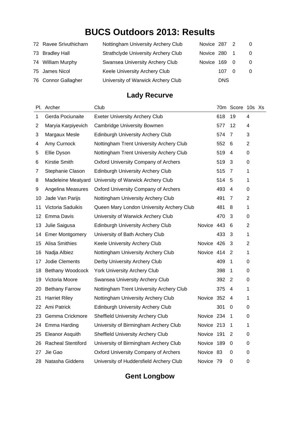| 72 Ravee Srivuthicharn | Nottingham University Archery Club         | Novice 287 2 |            | $\Omega$       |
|------------------------|--------------------------------------------|--------------|------------|----------------|
| 73 Bradley Hall        | <b>Strathclyde University Archery Club</b> | Novice 280   |            | $\overline{0}$ |
| 74 William Murphy      | Swansea University Archery Club            | Novice 169 0 |            | $\overline{0}$ |
| 75 James Nicol         | Keele University Archery Club              |              | 107 0      | 0              |
| 76 Connor Gallagher    | University of Warwick Archery Club         |              | <b>DNS</b> |                |

#### **Lady Recurve**

|    | Pl. Archer             | Club                                        |            |     | 70m Score 10s Xs |             |  |
|----|------------------------|---------------------------------------------|------------|-----|------------------|-------------|--|
| 1  | Gerda Pociunaite       | <b>Exeter University Archery Club</b>       |            | 618 | 19               | 4           |  |
| 2  | Maryia Karpiyevich     | Cambridge University Bowmen                 |            | 577 | 12               | 4           |  |
| 3  | Margaux Mesle          | <b>Edinburgh University Archery Club</b>    |            | 574 | 7                | 3           |  |
| 4  | Amy Curnock            | Nottingham Trent University Archery Club    |            | 552 | 6                | 2           |  |
| 5  | Ellie Dyson            | Nottingham Trent University Archery Club    |            | 519 | 4                | 0           |  |
| 6  | Kirstie Smith          | <b>Oxford University Company of Archers</b> |            | 519 | 3                | 0           |  |
| 7  | Stephanie Clason       | <b>Edinburgh University Archery Club</b>    |            | 515 | 7                | 1           |  |
| 8  | Madeleine Meatyard     | University of Warwick Archery Club          |            | 514 | 5                | 1           |  |
| 9  | Angelina Measures      | <b>Oxford University Company of Archers</b> |            | 493 | 4                | 0           |  |
| 10 | Jade Van Parijs        | Nottingham University Archery Club          |            | 491 | 7                | 2           |  |
| 11 | Victoria Saduikis      | Queen Mary London University Archery Club   |            | 481 | 8                | 1           |  |
| 12 | Emma Davis             | University of Warwick Archery Club          |            | 470 | 3                | 0           |  |
| 13 | Julie Saigusa          | <b>Edinburgh University Archery Club</b>    | Novice 443 |     | 6                | 2           |  |
| 14 | <b>Emer Montgomery</b> | University of Bath Archery Club             |            | 433 | 3                | 1           |  |
| 15 | <b>Alisa Smithies</b>  | Keele University Archery Club               | Novice 426 |     | 3                | 2           |  |
| 16 | Nadja Albiez           | Nottingham University Archery Club          | Novice 414 |     | $\overline{2}$   | 1           |  |
| 17 | Jodie Clements         | Derby University Archery Club               |            | 409 | 1                | 0           |  |
| 18 | Bethany Woodcock       | York University Archery Club                |            | 398 | 1                | 0           |  |
| 19 | Victoria Moore         | Swansea University Archery Club             |            | 392 | 2                | 0           |  |
| 20 | <b>Bethany Farrow</b>  | Nottingham Trent University Archery Club    |            | 375 | 4                | 1           |  |
| 21 | <b>Harriet Riley</b>   | Nottingham University Archery Club          | Novice 352 |     | 4                | 1           |  |
| 22 | Ami Patrick            | <b>Edinburgh University Archery Club</b>    |            | 301 | 0                | 0           |  |
| 23 | Gemma Crickmore        | <b>Sheffield University Archery Club</b>    | Novice 234 |     | 1                | 0           |  |
| 24 | Emma Harding           | University of Birmingham Archery Club       | Novice 213 |     | 1                | 1           |  |
| 25 | <b>Eleanor Asquith</b> | <b>Sheffield University Archery Club</b>    | Novice 191 |     | 2                | 0           |  |
|    | 26 Racheal Stentiford  | University of Birmingham Archery Club       | Novice 189 |     | 0                | 0           |  |
| 27 | Jie Gao                | <b>Oxford University Company of Archers</b> | Novice 83  |     | 0                | 0           |  |
| 28 | Natasha Giddens        | University of Huddersfield Archery Club     | Novice 79  |     | 0                | $\mathbf 0$ |  |

#### **Gent Longbow**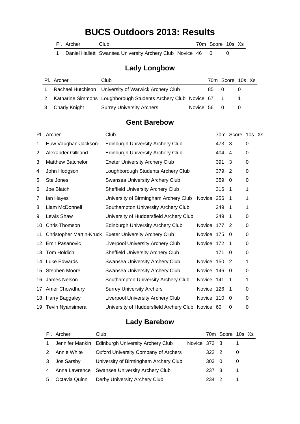Pl. Archer Club Club 70m Score 10s Xs

1 Daniel Hallett Swansea University Archery Club Novice 46 0 0

#### **Lady Longbow**

| Pl. Archer      | Club                                                               |             |      | 70m Score 10s Xs |  |
|-----------------|--------------------------------------------------------------------|-------------|------|------------------|--|
|                 | Rachael Hutchison University of Warwick Archery Club               |             | 85 0 |                  |  |
|                 | 2 Katharine Simmons Loughborough Students Archery Club Novice 67 1 |             |      |                  |  |
| 3 Charly Knight | <b>Surrey University Archers</b>                                   | Novice 56 0 |      |                  |  |

#### **Gent Barebow**

|    | Pl. Archer                 | Club                                                    |               |     | 70m Score 10s Xs |          |  |
|----|----------------------------|---------------------------------------------------------|---------------|-----|------------------|----------|--|
| 1  | Huw Vaughan-Jackson        | <b>Edinburgh University Archery Club</b>                |               | 473 | 3                | $\Omega$ |  |
| 2  | <b>Alexander Gilliland</b> | <b>Edinburgh University Archery Club</b>                |               | 404 | 4                | 0        |  |
| 3  | <b>Matthew Batchelor</b>   | <b>Exeter University Archery Club</b>                   |               | 391 | 3                | 0        |  |
| 4  | John Hodgson               | Loughborough Students Archery Club                      |               | 379 | $\overline{2}$   | 0        |  |
| 5  | Ste Jones                  | Swansea University Archery Club                         |               | 359 | 0                | 0        |  |
| 6  | Joe Blatch                 | <b>Sheffield University Archery Club</b>                |               | 316 | 1                | 1        |  |
| 7  | lan Hayes                  | University of Birmingham Archery Club                   | Novice        | 256 | 1                | 1        |  |
| 8  | Liam McDonnell             | Southampton University Archery Club                     |               | 249 | 1                | 1        |  |
| 9  | Lewis Shaw                 | University of Huddersfield Archery Club                 |               | 249 | 1                | 0        |  |
| 10 | Chris Thomson              | Edinburgh University Archery Club                       | <b>Novice</b> | 177 | 2                | 0        |  |
| 11 |                            | Christopher Martin-Kruck Exeter University Archery Club | Novice        | 175 | 0                | 0        |  |
| 12 | <b>Emir Pasanovic</b>      | <b>Liverpool University Archery Club</b>                | Novice 172    |     | 1                | 0        |  |
| 13 | Tom Holdich                | <b>Sheffield University Archery Club</b>                |               | 171 | 0                | 0        |  |
| 14 | Luke Edwards               | Swansea University Archery Club                         | Novice 150    |     | $\overline{2}$   | 1        |  |
| 15 | Stephen Moore              | Swansea University Archery Club                         | Novice 146    |     | 0                | 0        |  |
| 16 | James Nelson               | Southampton University Archery Club                     | Novice 141    |     | 1                | 1        |  |
| 17 | Amer Chowdhury             | <b>Surrey University Archers</b>                        | Novice 126    |     | 1                | 0        |  |
| 18 | Harry Baggaley             | <b>Liverpool University Archery Club</b>                | Novice 110    |     | 0                | 0        |  |
| 19 | <b>Tevin Nyansimera</b>    | University of Huddersfield Archery Club                 | Novice 60     |     | 0                | 0        |  |

#### **Lady Barebow**

|   | Pl. Archer      | Club                                          |              |       | 70m Score 10s Xs |   |  |
|---|-----------------|-----------------------------------------------|--------------|-------|------------------|---|--|
| 1 | Jennifer Mankin | <b>Edinburgh University Archery Club</b>      | Novice 372 3 |       |                  |   |  |
|   | Annie White     | <b>Oxford University Company of Archers</b>   |              | 322 2 |                  | 0 |  |
| 3 | Jos Sarsby      | University of Birmingham Archery Club         |              | 303   | - 0              | 0 |  |
| 4 |                 | Anna Lawrence Swansea University Archery Club |              | 237 3 |                  |   |  |
| 5 | Octavia Quinn   | Derby University Archery Club                 |              | 234   | - 2              |   |  |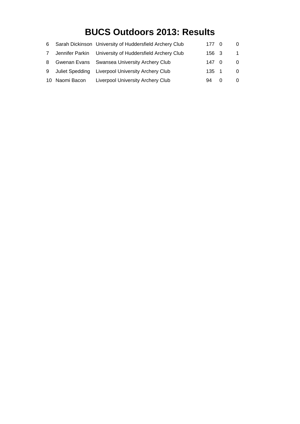| 6           |                | Sarah Dickinson University of Huddersfield Archery Club | 177 0 | 0 |
|-------------|----------------|---------------------------------------------------------|-------|---|
| $7^{\circ}$ |                | Jennifer Parkin University of Huddersfield Archery Club | 156 3 |   |
| 8           |                | Gwenan Evans Swansea University Archery Club            | 147 0 | 0 |
| 9           |                | Juliet Spedding Liverpool University Archery Club       | 135 1 |   |
|             | 10 Naomi Bacon | Liverpool University Archery Club                       | 94    |   |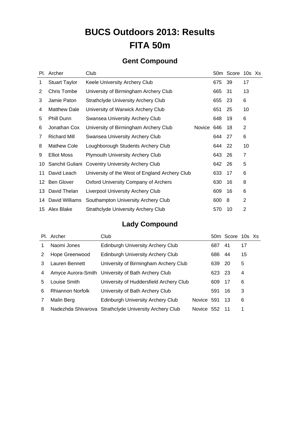# **BUCS Outdoors 2013: Results FITA 50m**

### **Gent Compound**

|    | Pl. Archer           | Club                                           |            |     | 50m Score | 10s Xs         |  |
|----|----------------------|------------------------------------------------|------------|-----|-----------|----------------|--|
| 1  | <b>Stuart Taylor</b> | Keele University Archery Club                  |            | 675 | 39        | 17             |  |
| 2  | Chris Tombe          | University of Birmingham Archery Club          |            | 665 | -31       | 13             |  |
| 3  | Jamie Paton          | <b>Strathclyde University Archery Club</b>     |            | 655 | 23        | 6              |  |
| 4  | <b>Matthew Dale</b>  | University of Warwick Archery Club             |            | 651 | 25        | 10             |  |
| 5  | <b>Phill Dunn</b>    | Swansea University Archery Club                |            | 648 | 19        | 6              |  |
| 6  | Jonathan Cox         | University of Birmingham Archery Club          | Novice 646 |     | 18        | $\overline{2}$ |  |
| 7  | <b>Richard Mill</b>  | Swansea University Archery Club                |            | 644 | 27        | 6              |  |
| 8  | <b>Mathew Cole</b>   | Loughborough Students Archery Club             |            | 644 | -22       | 10             |  |
| 9  | <b>Elliot Moss</b>   | <b>Plymouth University Archery Club</b>        |            | 643 | 26        | 7              |  |
| 10 | Sanchit Guliani      | <b>Coventry University Archery Club</b>        |            | 642 | -26       | 5              |  |
| 11 | David Leach          | University of the West of England Archery Club |            | 633 | 17        | 6              |  |
| 12 | <b>Ben Glover</b>    | Oxford University Company of Archers           |            | 630 | 16        | 8              |  |
| 13 | David Thelan         | <b>Liverpool University Archery Club</b>       |            | 609 | 16        | 6              |  |
| 14 | David Williams       | Southampton University Archery Club            |            | 600 | 8         | 2              |  |
| 15 | Alex Blake           | <b>Strathclyde University Archery Club</b>     |            | 570 | 10        | $\overline{2}$ |  |

#### **Lady Compound**

|   | Pl. Archer              | Club                                               |            |     | 50m Score 10s Xs |    |  |
|---|-------------------------|----------------------------------------------------|------------|-----|------------------|----|--|
| 1 | Naomi Jones             | <b>Edinburgh University Archery Club</b>           |            | 687 | -41              | 17 |  |
| 2 | Hope Greenwood          | Edinburgh University Archery Club                  |            | 686 | 44               | 15 |  |
| 3 | Lauren Bennett          | University of Birmingham Archery Club              |            | 639 | -20              | 5  |  |
| 4 |                         | Amyce Aurora-Smith University of Bath Archery Club |            | 623 | -23              | 4  |  |
| 5 | Louise Smith            | University of Huddersfield Archery Club            |            | 609 | -17              | 6  |  |
| 6 | <b>Rhiannon Norfolk</b> | University of Bath Archery Club                    |            | 591 | 16               | 3  |  |
| 7 | Malin Berg              | Edinburgh University Archery Club                  | Novice 591 |     | -13              | 6  |  |
| 8 | Nadezhda Shivarova      | <b>Strathclyde University Archery Club</b>         | Novice 552 |     | -11              | 1  |  |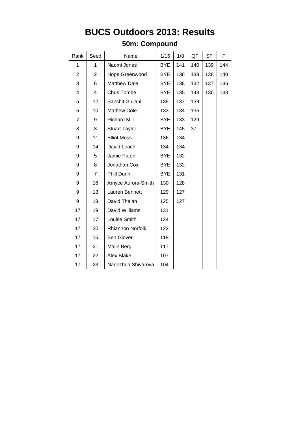#### **50m: Compound**

| Rank           | Seed           | Name                 | 1/16       | 1/8 | QF  | <b>SF</b> | F   |
|----------------|----------------|----------------------|------------|-----|-----|-----------|-----|
| 1              | 1              | Naomi Jones          | <b>BYE</b> | 141 | 140 | 139       | 144 |
| $\overline{c}$ | 2              | Hope Greenwood       | <b>BYE</b> | 136 | 138 | 138       | 140 |
| 3              | 6              | <b>Matthew Dale</b>  | <b>BYE</b> | 138 | 132 | 137       | 136 |
| 4              | 4              | <b>Chris Tombe</b>   | <b>BYE</b> | 135 | 143 | 136       | 133 |
| 5              | 12             | Sanchit Guliani      | 139        | 137 | 139 |           |     |
| 6              | 10             | <b>Mathew Cole</b>   | 133        | 134 | 135 |           |     |
| $\overline{7}$ | 9              | <b>Richard Mill</b>  | <b>BYE</b> | 133 | 129 |           |     |
| 8              | 3              | <b>Stuart Taylor</b> | <b>BYE</b> | 145 | 37  |           |     |
| 9              | 11             | <b>Elliot Moss</b>   | 136        | 134 |     |           |     |
| 9              | 14             | David Leach          | 134        | 134 |     |           |     |
| 9              | 5              | Jamie Paton          | <b>BYE</b> | 132 |     |           |     |
| 9              | 8              | Jonathan Cox         | <b>BYE</b> | 132 |     |           |     |
| 9              | $\overline{7}$ | Phill Dunn           | <b>BYE</b> | 131 |     |           |     |
| 9              | 16             | Amyce Aurora-Smith   | 130        | 128 |     |           |     |
| 9              | 13             | Lauren Bennett       | 129        | 127 |     |           |     |
| 9              | 18             | David Thelan         | 125        | 127 |     |           |     |
| 17             | 19             | David Williams       | 131        |     |     |           |     |
| 17             | 17             | Louise Smith         | 124        |     |     |           |     |
| 17             | 20             | Rhiannon Norfolk     | 123        |     |     |           |     |
| 17             | 15             | <b>Ben Glover</b>    | 119        |     |     |           |     |
| 17             | 21             | Malin Berg           | 117        |     |     |           |     |
| 17             | 22             | Alex Blake           | 107        |     |     |           |     |
| 17             | 23             | Nadezhda Shivarova   | 104        |     |     |           |     |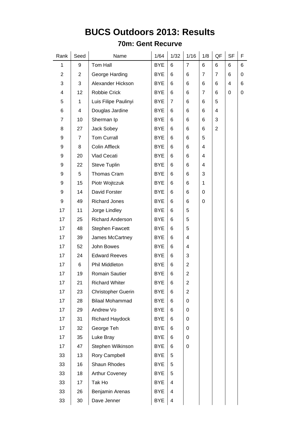#### **70m: Gent Recurve**

| Rank           | Seed | Name                      | 1/64       | 1/32           | 1/16           | 1/8            | QF             | <b>SF</b> | F |
|----------------|------|---------------------------|------------|----------------|----------------|----------------|----------------|-----------|---|
| $\mathbf{1}$   | 9    | Tom Hall                  | <b>BYE</b> | 6              | $\overline{7}$ | 6              | 6              | 6         | 6 |
| $\overline{2}$ | 2    | George Harding            | <b>BYE</b> | 6              | 6              | $\overline{7}$ | 7              | 6         | 0 |
| 3              | 3    | Alexander Hickson         | <b>BYE</b> | 6              | 6              | 6              | 6              | 4         | 6 |
| 4              | 12   | Robbie Crick              | <b>BYE</b> | 6              | 6              | $\overline{7}$ | 6              | 0         | 0 |
| 5              | 1    | Luis Filipe Paulinyi      | <b>BYE</b> | $\overline{7}$ | 6              | 6              | 5              |           |   |
| 6              | 4    | Douglas Jardine           | <b>BYE</b> | 6              | 6              | 6              | 4              |           |   |
| 7              | 10   | Sherman Ip                | <b>BYE</b> | 6              | 6              | 6              | 3              |           |   |
| 8              | 27   | Jack Sobey                | <b>BYE</b> | 6              | 6              | 6              | $\overline{2}$ |           |   |
| 9              | 7    | <b>Tom Currall</b>        | <b>BYE</b> | 6              | 6              | 5              |                |           |   |
| 9              | 8    | <b>Colin Affleck</b>      | <b>BYE</b> | 6              | 6              | 4              |                |           |   |
| 9              | 20   | Vlad Cecati               | <b>BYE</b> | 6              | 6              | 4              |                |           |   |
| 9              | 22   | <b>Steve Tuplin</b>       | <b>BYE</b> | 6              | 6              | 4              |                |           |   |
| 9              | 5    | Thomas Cram               | <b>BYE</b> | 6              | 6              | 3              |                |           |   |
| 9              | 15   | Piotr Wojtczuk            | <b>BYE</b> | 6              | 6              | 1              |                |           |   |
| 9              | 14   | David Forster             | <b>BYE</b> | 6              | 6              | 0              |                |           |   |
| 9              | 49   | <b>Richard Jones</b>      | <b>BYE</b> | 6              | 6              | 0              |                |           |   |
| 17             | 11   | Jorge Lindley             | <b>BYE</b> | 6              | 5              |                |                |           |   |
| 17             | 25   | <b>Richard Anderson</b>   | <b>BYE</b> | 6              | 5              |                |                |           |   |
| 17             | 48   | <b>Stephen Fawcett</b>    | <b>BYE</b> | 6              | 5              |                |                |           |   |
| 17             | 39   | James McCartney           | <b>BYE</b> | 6              | 4              |                |                |           |   |
| 17             | 52   | John Bowes                | <b>BYE</b> | 6              | 4              |                |                |           |   |
| 17             | 24   | <b>Edward Reeves</b>      | <b>BYE</b> | 6              | 3              |                |                |           |   |
| 17             | 6    | Phil Middleton            | <b>BYE</b> | 6              | $\overline{2}$ |                |                |           |   |
| 17             | 19   | <b>Romain Sautier</b>     | <b>BYE</b> | 6              | $\overline{2}$ |                |                |           |   |
| 17             | 21   | <b>Richard Whiter</b>     | <b>BYE</b> | 6              | $\overline{2}$ |                |                |           |   |
| 17             | 23   | <b>Christopher Guerin</b> | <b>BYE</b> | 6              | $\overline{2}$ |                |                |           |   |
| 17             | 28   | <b>Bilaal Mohammad</b>    | <b>BYE</b> | 6              | 0              |                |                |           |   |
| 17             | 29   | Andrew Vo                 | <b>BYE</b> | 6              | 0              |                |                |           |   |
| 17             | 31   | Richard Haydock           | <b>BYE</b> | 6              | 0              |                |                |           |   |
| 17             | 32   | George Teh                | <b>BYE</b> | 6              | 0              |                |                |           |   |
| 17             | 35   | Luke Bray                 | <b>BYE</b> | 6              | 0              |                |                |           |   |
| 17             | 47   | Stephen Wilkinson         | <b>BYE</b> | 6              | 0              |                |                |           |   |
| 33             | 13   | Rory Campbell             | <b>BYE</b> | 5              |                |                |                |           |   |
| 33             | 16   | Shaun Rhodes              | <b>BYE</b> | 5              |                |                |                |           |   |
| 33             | 18   | Arthur Coveney            | <b>BYE</b> | 5              |                |                |                |           |   |
| 33             | 17   | Tak Ho                    | <b>BYE</b> | 4              |                |                |                |           |   |
| 33             | 26   | Benjamin Arenas           | <b>BYE</b> | 4              |                |                |                |           |   |
| 33             | 30   | Dave Jenner               | <b>BYE</b> | 4              |                |                |                |           |   |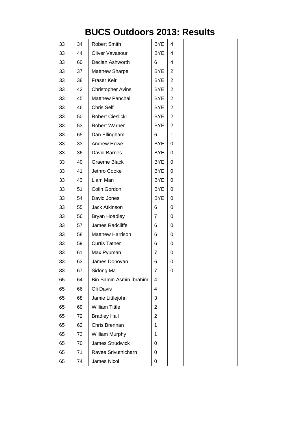| 33 | 34 | <b>Robert Smith</b>      | <b>BYE</b>     | 4              |  |  |
|----|----|--------------------------|----------------|----------------|--|--|
| 33 | 44 | Oliver Vavasour          | <b>BYE</b>     | 4              |  |  |
| 33 | 60 | Declan Ashworth          | 6              | 4              |  |  |
| 33 | 37 | <b>Matthew Sharpe</b>    | <b>BYE</b>     | 2              |  |  |
| 33 | 38 | Fraser Keir              | <b>BYE</b>     | $\overline{2}$ |  |  |
| 33 | 42 | <b>Christopher Avins</b> | <b>BYE</b>     | $\overline{2}$ |  |  |
| 33 | 45 | <b>Matthew Panchal</b>   | <b>BYE</b>     | $\overline{2}$ |  |  |
| 33 | 46 | Chris Self               | <b>BYE</b>     | $\overline{2}$ |  |  |
| 33 | 50 | Robert Cieslicki         | <b>BYE</b>     | $\overline{2}$ |  |  |
| 33 | 53 | <b>Robert Warner</b>     | <b>BYE</b>     | $\overline{2}$ |  |  |
| 33 | 65 | Dan Ellingham            | 6              | $\mathbf{1}$   |  |  |
| 33 | 33 | Andrew Howe              | <b>BYE</b>     | 0              |  |  |
| 33 | 36 | David Barnes             | <b>BYE</b>     | 0              |  |  |
| 33 | 40 | Graeme Black             | <b>BYE</b>     | 0              |  |  |
| 33 | 41 | Jethro Cooke             | <b>BYE</b>     | 0              |  |  |
| 33 | 43 | Liam Man                 | <b>BYE</b>     | 0              |  |  |
| 33 | 51 | Colin Gordon             | <b>BYE</b>     | 0              |  |  |
| 33 | 54 | David Jones              | <b>BYE</b>     | 0              |  |  |
| 33 | 55 | Jack Atkinson            | 6              | 0              |  |  |
| 33 | 56 | Bryan Hoadley            | $\overline{7}$ | 0              |  |  |
| 33 | 57 | James Radcliffe          | 6              | 0              |  |  |
| 33 | 58 | <b>Matthew Harrison</b>  | 6              | 0              |  |  |
| 33 | 59 | <b>Curtis Tatner</b>     | 6              | 0              |  |  |
| 33 | 61 | Max Pyuman               | 7              | 0              |  |  |
| 33 | 63 | James Donovan            | 6              | 0              |  |  |
| 33 | 67 | Sidong Ma                | 7              | 0              |  |  |
| 65 | 64 | Bin Samin Asmin Ibrahim  | 4              |                |  |  |
| 65 | 66 | Oli Davis                | 4              |                |  |  |
| 65 | 68 | Jamie Littlejohn         | 3              |                |  |  |
| 65 | 69 | <b>William Tittle</b>    | $\overline{2}$ |                |  |  |
| 65 | 72 | <b>Bradley Hall</b>      | $\overline{2}$ |                |  |  |
| 65 | 62 | Chris Brennan            | 1              |                |  |  |
| 65 | 73 | William Murphy           | 1              |                |  |  |
| 65 | 70 | James Strudwick          | 0              |                |  |  |
| 65 | 71 | Ravee Srivuthicharn      | 0              |                |  |  |
| 65 | 74 | James Nicol              | 0              |                |  |  |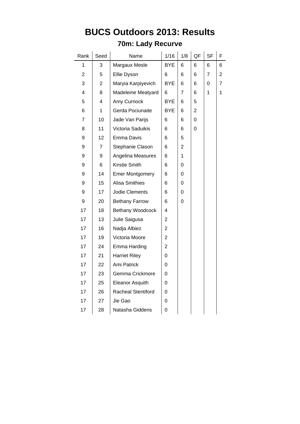### **70m: Lady Recurve**

| Rank                    | Seed                    | Name                      | 1/16                    | 1/8 | QF | <b>SF</b> | F              |
|-------------------------|-------------------------|---------------------------|-------------------------|-----|----|-----------|----------------|
| 1                       | 3                       | Margaux Mesle             | <b>BYE</b>              | 6   | 6  | 6         | 6              |
| $\overline{c}$          | 5                       | Ellie Dyson               | 6                       | 6   | 6  | 7         | $\overline{2}$ |
| 3                       | $\overline{\mathbf{c}}$ | Maryia Karpiyevich        | <b>BYE</b>              | 6   | 6  | 0         | 7              |
| $\overline{\mathbf{4}}$ | 8                       | Madeleine Meatyard        | 6                       | 7   | 6  | 1         | 1              |
| 5                       | 4                       | Amy Curnock               | <b>BYE</b>              | 6   | 5  |           |                |
| 6                       | 1                       | Gerda Pociunaite          | <b>BYE</b>              | 6   | 2  |           |                |
| 7                       | 10                      | Jade Van Parijs           | 6                       | 6   | 0  |           |                |
| 8                       | 11                      | Victoria Saduikis         | 6                       | 6   | 0  |           |                |
| 9                       | 12                      | Emma Davis                | 6                       | 5   |    |           |                |
| 9                       | 7                       | Stephanie Clason          | 6                       | 2   |    |           |                |
| 9                       | 9                       | Angelina Measures         | 6                       | 1   |    |           |                |
| 9                       | 6                       | Kirstie Smith             | 6                       | 0   |    |           |                |
| 9                       | 14                      | <b>Emer Montgomery</b>    | 6                       | 0   |    |           |                |
| 9                       | 15                      | <b>Alisa Smithies</b>     | 6                       | 0   |    |           |                |
| 9                       | 17                      | Jodie Clements            | 6                       | 0   |    |           |                |
| 9                       | 20                      | <b>Bethany Farrow</b>     | 6                       | 0   |    |           |                |
| 17                      | 18                      | Bethany Woodcock          | 4                       |     |    |           |                |
| 17                      | 13                      | Julie Saigusa             | 2                       |     |    |           |                |
| 17                      | 16                      | Nadja Albiez              | $\overline{2}$          |     |    |           |                |
| 17                      | 19                      | Victoria Moore            | $\overline{\mathbf{c}}$ |     |    |           |                |
| 17                      | 24                      | Emma Harding              | $\overline{2}$          |     |    |           |                |
| 17                      | 21                      | <b>Harriet Riley</b>      | 0                       |     |    |           |                |
| 17                      | 22                      | Ami Patrick               | 0                       |     |    |           |                |
| 17                      | 23                      | Gemma Crickmore           | 0                       |     |    |           |                |
| 17                      | 25                      | Eleanor Asquith           | 0                       |     |    |           |                |
| 17                      | 26                      | <b>Racheal Stentiford</b> | 0                       |     |    |           |                |
| 17                      | 27                      | Jie Gao                   | 0                       |     |    |           |                |
| 17                      | 28                      | Natasha Giddens           | 0                       |     |    |           |                |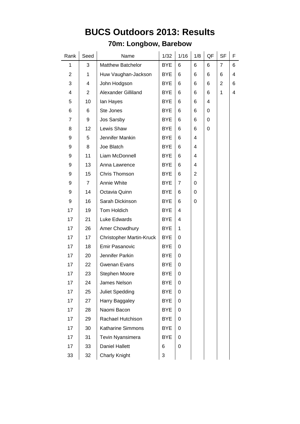### **70m: Longbow, Barebow**

| Rank           | Seed | Name                            | 1/32       | 1/16           | 1/8      | QF | <b>SF</b> | F |
|----------------|------|---------------------------------|------------|----------------|----------|----|-----------|---|
| 1              | 3    | <b>Matthew Batchelor</b>        | <b>BYE</b> | 6              | 6        | 6  | 7         | 6 |
| 2              | 1    | Huw Vaughan-Jackson             | <b>BYE</b> | 6              | 6        | 6  | 6         | 4 |
| 3              | 4    | John Hodgson                    | <b>BYE</b> | 6              | 6        | 6  | 2         | 6 |
| 4              | 2    | Alexander Gilliland             | <b>BYE</b> | 6              | 6        | 6  | 1         | 4 |
| 5              | 10   | lan Hayes                       | <b>BYE</b> | 6              | 6        | 4  |           |   |
| 6              | 6    | Ste Jones                       | <b>BYE</b> | 6              | 6        | 0  |           |   |
| $\overline{7}$ | 9    | Jos Sarsby                      | <b>BYE</b> | 6              | 6        | 0  |           |   |
| 8              | 12   | Lewis Shaw                      | <b>BYE</b> | 6              | 6        | 0  |           |   |
| 9              | 5    | Jennifer Mankin                 | <b>BYE</b> | 6              | 4        |    |           |   |
| 9              | 8    | Joe Blatch                      | <b>BYE</b> | 6              | 4        |    |           |   |
| 9              | 11   | Liam McDonnell                  | <b>BYE</b> | 6              | 4        |    |           |   |
| 9              | 13   | Anna Lawrence                   | <b>BYE</b> | 6              | 4        |    |           |   |
| 9              | 15   | Chris Thomson                   | <b>BYE</b> | 6              | 2        |    |           |   |
| 9              | 7    | Annie White                     | <b>BYE</b> | $\overline{7}$ | $\Omega$ |    |           |   |
| 9              | 14   | Octavia Quinn                   | <b>BYE</b> | 6              | 0        |    |           |   |
| 9              | 16   | Sarah Dickinson                 | <b>BYE</b> | 6              | 0        |    |           |   |
| 17             | 19   | Tom Holdich                     | <b>BYE</b> | 4              |          |    |           |   |
| 17             | 21   | Luke Edwards                    | <b>BYE</b> | 4              |          |    |           |   |
| 17             | 26   | Amer Chowdhury                  | <b>BYE</b> | 1              |          |    |           |   |
| 17             | 17   | <b>Christopher Martin-Kruck</b> | <b>BYE</b> | 0              |          |    |           |   |
| 17             | 18   | <b>Emir Pasanovic</b>           | <b>BYE</b> | 0              |          |    |           |   |
| 17             | 20   | Jennifer Parkin                 | <b>BYE</b> | 0              |          |    |           |   |
| 17             | 22   | <b>Gwenan Evans</b>             | <b>BYE</b> | 0              |          |    |           |   |
| 17             | 23   | Stephen Moore                   | <b>BYE</b> | 0              |          |    |           |   |
| 17             | 24   | James Nelson                    | <b>BYE</b> | 0              |          |    |           |   |
| 17             | 25   | Juliet Spedding                 | <b>BYE</b> | 0              |          |    |           |   |
| 17             | 27   | Harry Baggaley                  | <b>BYE</b> | 0              |          |    |           |   |
| 17             | 28   | Naomi Bacon                     | <b>BYE</b> | 0              |          |    |           |   |
| 17             | 29   | Rachael Hutchison               | <b>BYE</b> | 0              |          |    |           |   |
| 17             | 30   | <b>Katharine Simmons</b>        | <b>BYE</b> | 0              |          |    |           |   |
| 17             | 31   | Tevin Nyansimera                | <b>BYE</b> | 0              |          |    |           |   |
| 17             | 33   | <b>Daniel Hallett</b>           | 6          | 0              |          |    |           |   |
| 33             | 32   | Charly Knight                   | 3          |                |          |    |           |   |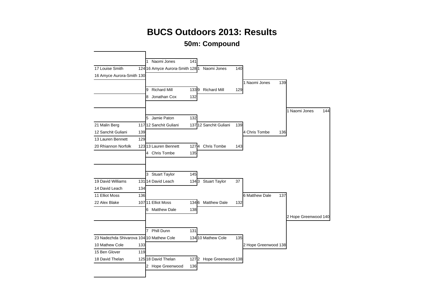**50m: Compound**

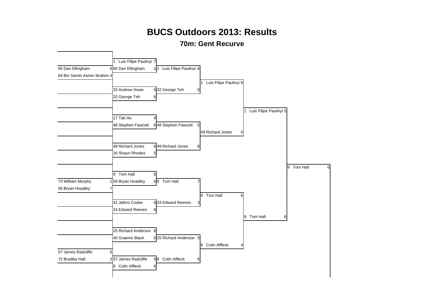#### **70m: Gent Recurve**

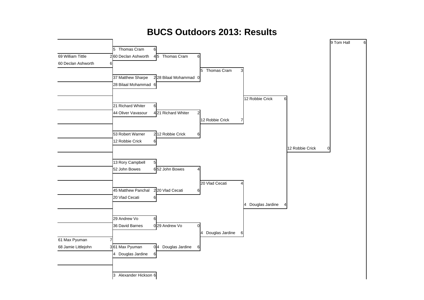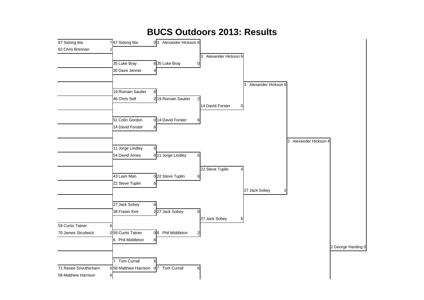#### **BUCS Outdoors 2013: Results** 67 Sidong Ma<br>
<sup>7</sup>67 Sidong Ma<br>
<sup>7</sup>67 Sidong Ma<br>
<sup>1</sup>67 Sidong Ma<br>
<sup>167</sup> Sidong Ma 62 Chris Brennan 1 3 Alexander Hickson 6 35 Luke Bray 635 Luke Bray 30 Dave Jenner 3 Alexander Hickson 6 19 Romain Sautier 6  $46$  Chris Self 2 19 Romain Sautier 14 David Forster 0 51 Colin Gordon 0 14 David Forster 14 David Forster 6 3 Alexander Hickson 4 11 Jorge Lindley 6 54 David Jones 0 11 Jorge Lindley 22 Steve Tuplin 43 Liam Man 0 22 Steve Tuplin 22 Steve Tuplin 6 27 Jack Sobey 2 27 Jack Sobey 6 38 Fraser Keir 227 Jack Sobey 27 Jack Sobey 6 59 Curtis Tatner 6 70 James Strudwick 0 59 Curtis Tatner 0 6 Phil Middleton 6 Phil Middleton 6 2 George Harding 0 Tom Currall 6 71 Ravee Srivuthicharn 0 58 Matthew Harrison 0 7 Tom Currall 6 58 Matthew Harrison 6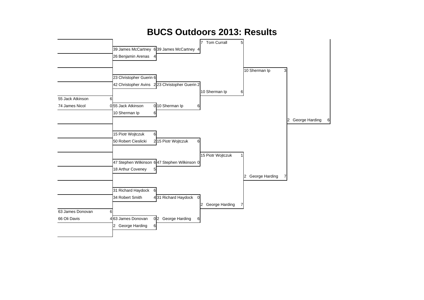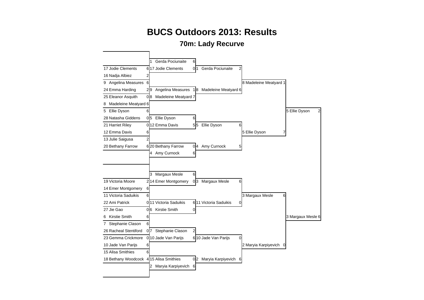#### **70m: Lady Recurve**

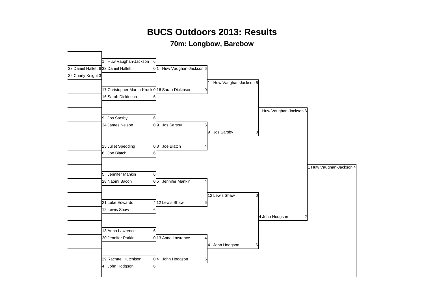#### **70m: Longbow, Barebow**